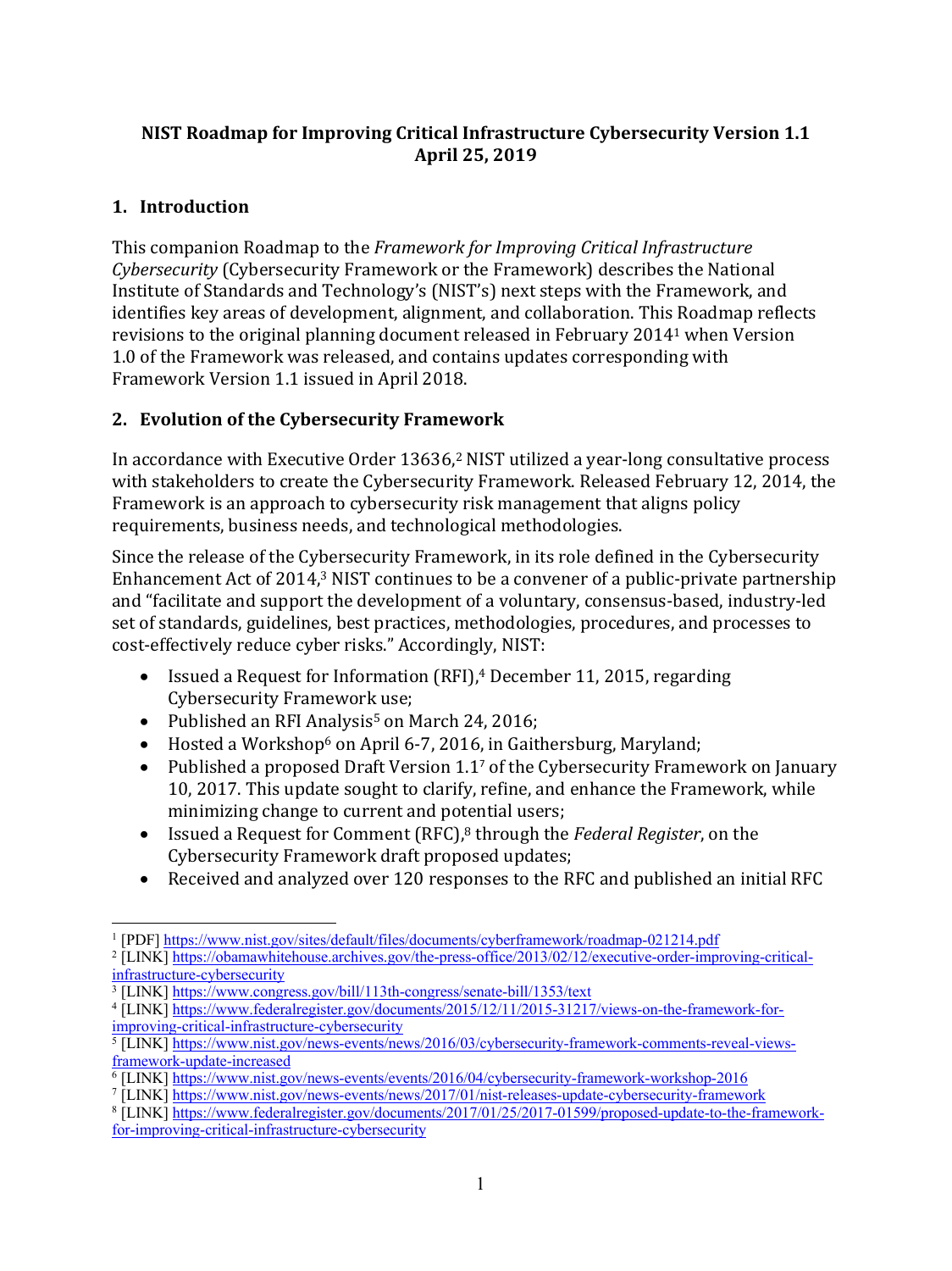### **NIST Roadmap for Improving Critical Infrastructure Cybersecurity Version 1.1 April 25, 2019**

#### **1. Introduction**

This companion Roadmap to the *Framework for Improving Critical Infrastructure Cybersecurity* (Cybersecurity Framework or the Framework) describes the National Institute of Standards and Technology's (NIST's) next steps with the Framework, and identifies key areas of development, alignment, and collaboration. This Roadmap reflects revisions to the original planning document released in February 2014<sup>1</sup> when Version 1.0 of the Framework was released, and contains updates corresponding with Framework Version 1.1 issued in April 2018.

#### **2. Evolution of the Cybersecurity Framework**

In accordance with Executive Order 13636,<sup>2</sup> NIST utilized a year-long consultative process with stakeholders to create the Cybersecurity Framework. Released February 12, 2014, the Framework is an approach to cybersecurity risk management that aligns policy requirements, business needs, and technological methodologies.

Since the release of the Cybersecurity Framework, in its role defined in the Cybersecurity Enhancement Act of 2014,<sup>3</sup> NIST continues to be a convener of a public-private partnership and "facilitate and support the development of a voluntary, consensus-based, industry-led set of standards, guidelines, best practices, methodologies, procedures, and processes to cost-effectively reduce cyber risks." Accordingly, NIST:

- Issued a Request for Information (RFI),<sup>4</sup> December 11, 2015, regarding Cybersecurity Framework use;
- Published an RFI Analysis<sup>5</sup> on March 24, 2016;
- Hosted a Workshop<sup>6</sup> on April 6-7, 2016, in Gaithersburg, Maryland:
- Published a proposed Draft Version 1.1<sup>7</sup> of the Cybersecurity Framework on January 10, 2017. This update sought to clarify, refine, and enhance the Framework, while minimizing change to current and potential users;
- Issued a Request for Comment (RFC),<sup>8</sup> through the *Federal Register*, on the Cybersecurity Framework draft proposed updates;
- Received and analyzed over 120 responses to the RFC and published an initial RFC

 <sup>1</sup> [PDF] https://www.nist.gov/sites/default/files/documents/cyberframework/roadmap-021214.pdf

<sup>2</sup> [LINK] https://obamawhitehouse.archives.gov/the-press-office/2013/02/12/executive-order-improving-criticalinfrastructure-cybersecurity

<sup>3</sup> [LINK] https://www.congress.gov/bill/113th-congress/senate-bill/1353/text

<sup>4</sup> [LINK] https://www.federalregister.gov/documents/2015/12/11/2015-31217/views-on-the-framework-forimproving-critical-infrastructure-cybersecurity

<sup>5</sup> [LINK] https://www.nist.gov/news-events/news/2016/03/cybersecurity-framework-comments-reveal-viewsframework-update-increased

<sup>6</sup> [LINK] https://www.nist.gov/news-events/events/2016/04/cybersecurity-framework-workshop-2016

<sup>7</sup> [LINK] https://www.nist.gov/news-events/news/2017/01/nist-releases-update-cybersecurity-framework

<sup>8</sup> [LINK] https://www.federalregister.gov/documents/2017/01/25/2017-01599/proposed-update-to-the-frameworkfor-improving-critical-infrastructure-cybersecurity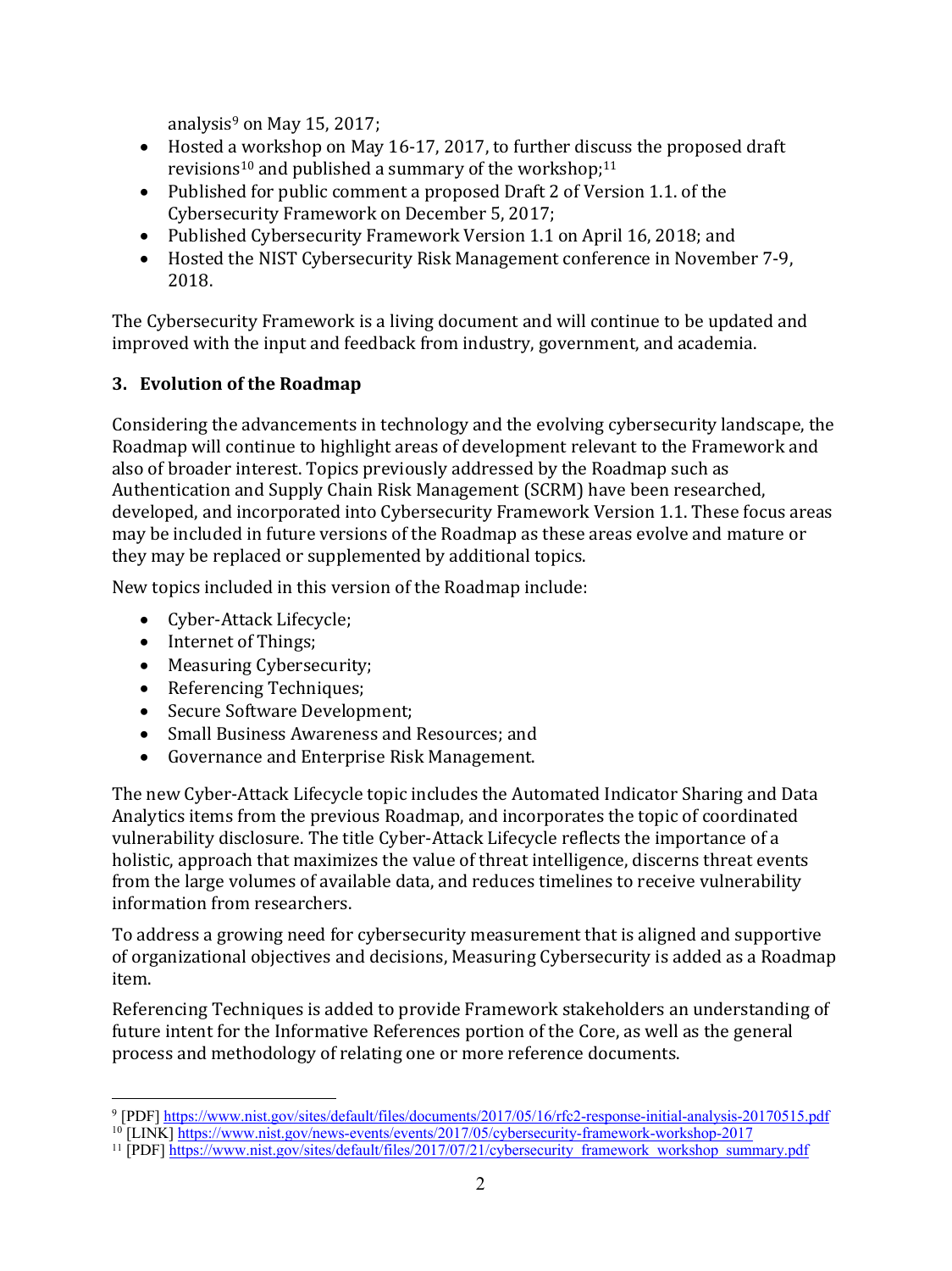analysis<sup>9</sup> on May 15, 2017;

- Hosted a workshop on May 16-17, 2017, to further discuss the proposed draft revisions<sup>10</sup> and published a summary of the workshop;<sup>11</sup>
- Published for public comment a proposed Draft 2 of Version 1.1. of the Cybersecurity Framework on December 5, 2017;
- Published Cybersecurity Framework Version 1.1 on April 16, 2018; and
- Hosted the NIST Cybersecurity Risk Management conference in November 7-9, 2018.

The Cybersecurity Framework is a living document and will continue to be updated and improved with the input and feedback from industry, government, and academia.

#### **3. Evolution of the Roadmap**

Considering the advancements in technology and the evolving cybersecurity landscape, the Roadmap will continue to highlight areas of development relevant to the Framework and also of broader interest. Topics previously addressed by the Roadmap such as Authentication and Supply Chain Risk Management (SCRM) have been researched, developed, and incorporated into Cybersecurity Framework Version 1.1. These focus areas may be included in future versions of the Roadmap as these areas evolve and mature or they may be replaced or supplemented by additional topics.

New topics included in this version of the Roadmap include:

- Cyber-Attack Lifecycle;
- Internet of Things;
- Measuring Cybersecurity;
- Referencing Techniques;
- Secure Software Development;
- Small Business Awareness and Resources; and
- Governance and Enterprise Risk Management.

The new Cyber-Attack Lifecycle topic includes the Automated Indicator Sharing and Data Analytics items from the previous Roadmap, and incorporates the topic of coordinated vulnerability disclosure. The title Cyber-Attack Lifecycle reflects the importance of a holistic, approach that maximizes the value of threat intelligence, discerns threat events from the large volumes of available data, and reduces timelines to receive vulnerability information from researchers.

To address a growing need for cybersecurity measurement that is aligned and supportive of organizational objectives and decisions, Measuring Cybersecurity is added as a Roadmap item.

Referencing Techniques is added to provide Framework stakeholders an understanding of future intent for the Informative References portion of the Core, as well as the general process and methodology of relating one or more reference documents.

 <sup>9</sup> [PDF] https://www.nist.gov/sites/default/files/documents/2017/05/16/rfc2-response-initial-analysis-20170515.pdf

<sup>&</sup>lt;sup>10</sup> [LINK] https://www.nist.gov/news-events/events/2017/05/cybersecurity-framework-workshop-2017

<sup>&</sup>lt;sup>11</sup> [PDF] https://www.nist.gov/sites/default/files/2017/07/21/cybersecurity\_framework\_workshop\_summary.pdf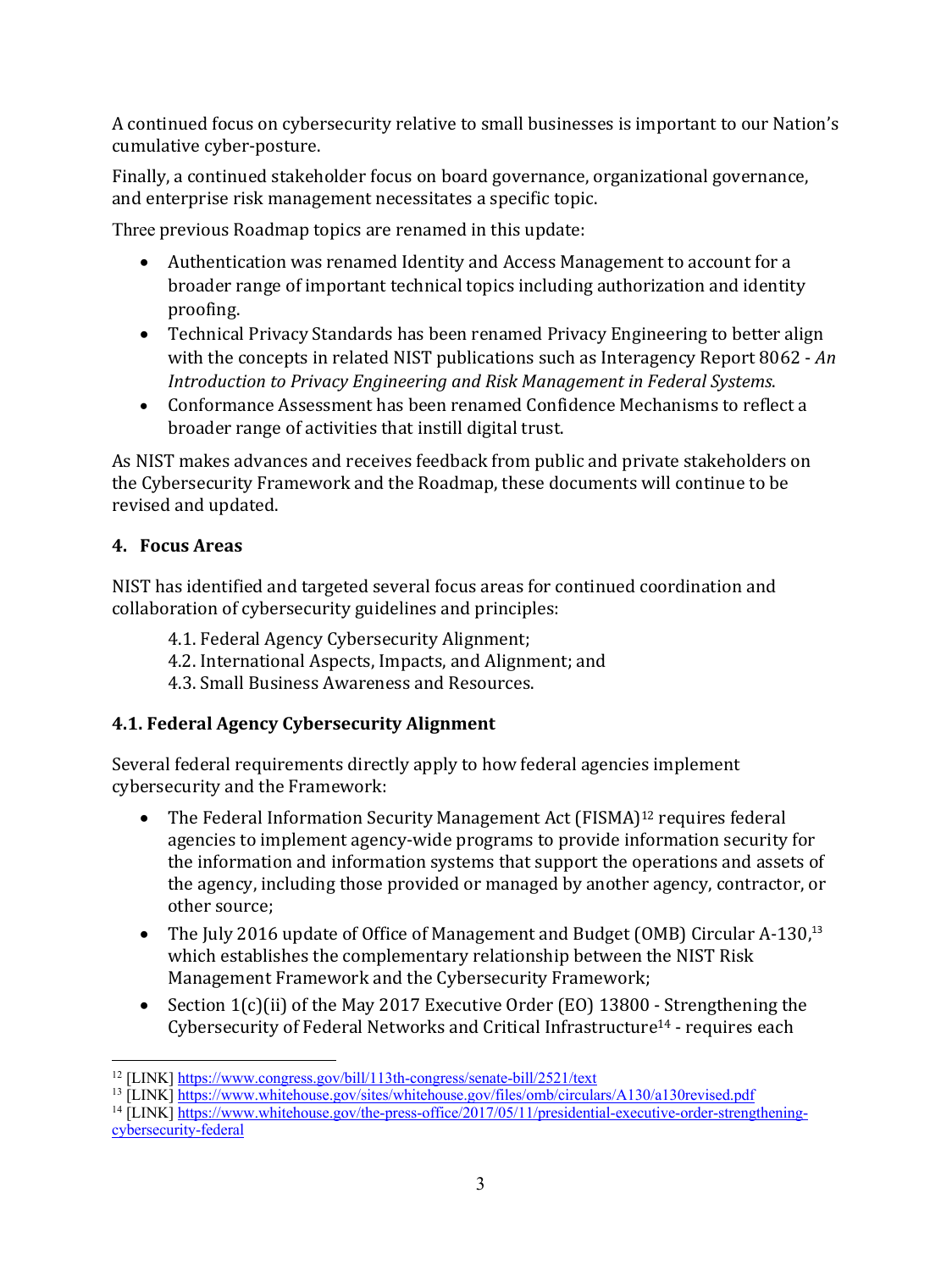A continued focus on cybersecurity relative to small businesses is important to our Nation's cumulative cyber-posture.

Finally, a continued stakeholder focus on board governance, organizational governance, and enterprise risk management necessitates a specific topic.

Three previous Roadmap topics are renamed in this update:

- Authentication was renamed Identity and Access Management to account for a broader range of important technical topics including authorization and identity proofing.
- Technical Privacy Standards has been renamed Privacy Engineering to better align with the concepts in related NIST publications such as Interagency Report 8062 - *An Introduction to Privacy Engineering and Risk Management in Federal Systems.*
- Conformance Assessment has been renamed Confidence Mechanisms to reflect a broader range of activities that instill digital trust.

As NIST makes advances and receives feedback from public and private stakeholders on the Cybersecurity Framework and the Roadmap, these documents will continue to be revised and updated.

## **4. Focus Areas**

NIST has identified and targeted several focus areas for continued coordination and collaboration of cybersecurity guidelines and principles:

- 4.1. Federal Agency Cybersecurity Alignment;
- 4.2. International Aspects, Impacts, and Alignment; and
- 4.3. Small Business Awareness and Resources.

## **4.1. Federal Agency Cybersecurity Alignment**

Several federal requirements directly apply to how federal agencies implement cybersecurity and the Framework:

- The Federal Information Security Management Act (FISMA)<sup>12</sup> requires federal agencies to implement agency-wide programs to provide information security for the information and information systems that support the operations and assets of the agency, including those provided or managed by another agency, contractor, or other source:
- The July 2016 update of Office of Management and Budget (OMB) Circular A-130,<sup>13</sup> which establishes the complementary relationship between the NIST Risk Management Framework and the Cybersecurity Framework;
- Section  $1(c)$ (ii) of the May 2017 Executive Order (EO) 13800 Strengthening the Cybersecurity of Federal Networks and Critical Infrastructure<sup>14</sup> - requires each

<sup>14</sup> [LINK] https://www.whitehouse.gov/the-press-office/2017/05/11/presidential-executive-order-strengtheningcybersecurity-federal

 <sup>12</sup> [LINK] https://www.congress.gov/bill/113th-congress/senate-bill/2521/text

<sup>&</sup>lt;sup>13</sup> [LINK] https://www.whitehouse.gov/sites/whitehouse.gov/files/omb/circulars/A130/a130revised.pdf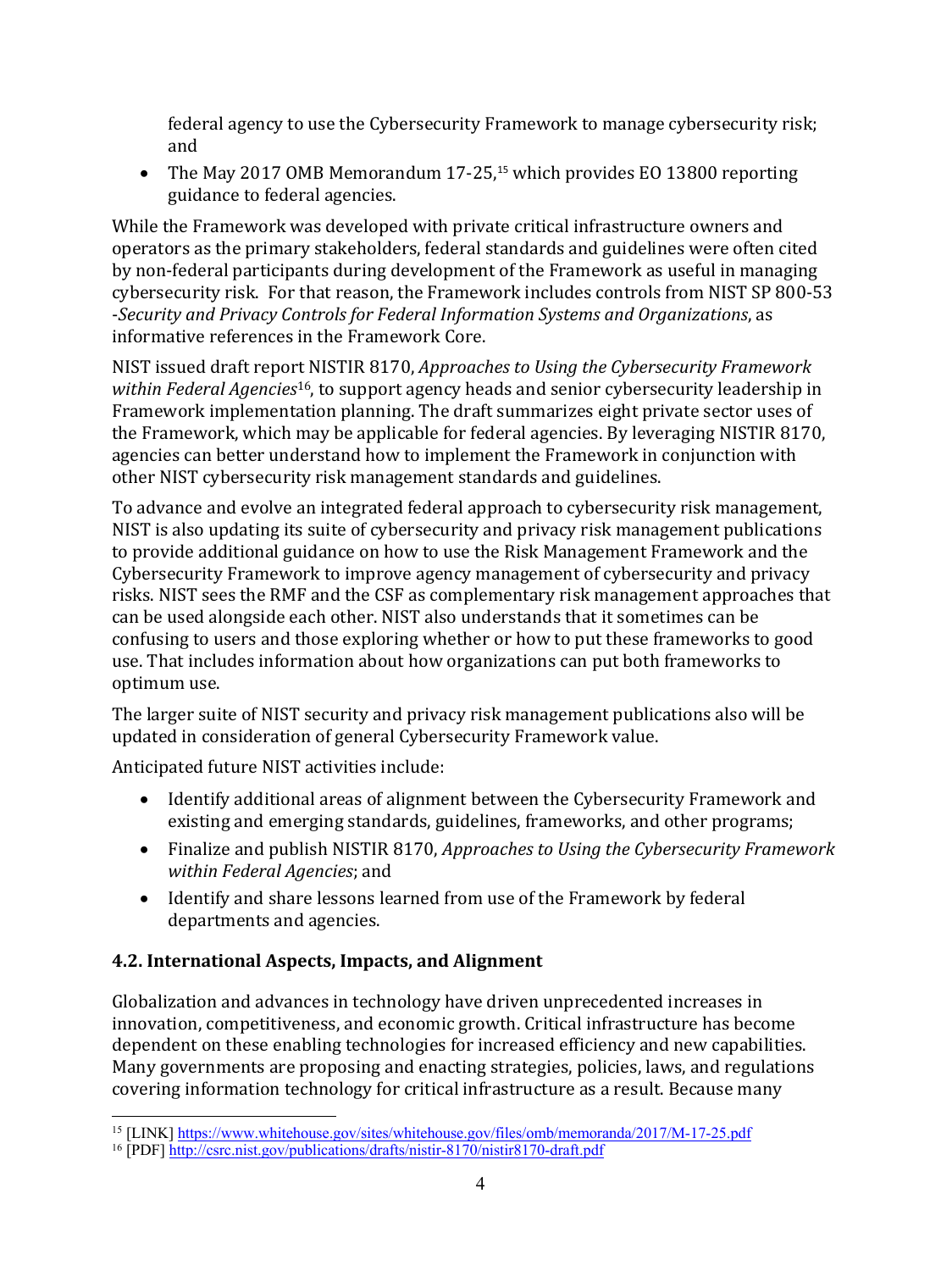federal agency to use the Cybersecurity Framework to manage cybersecurity risk: and

• The May 2017 OMB Memorandum 17-25,<sup>15</sup> which provides EO 13800 reporting guidance to federal agencies.

While the Framework was developed with private critical infrastructure owners and operators as the primary stakeholders, federal standards and guidelines were often cited by non-federal participants during development of the Framework as useful in managing cybersecurity risk. For that reason, the Framework includes controls from NIST SP 800-53 -Security and Privacy Controls for Federal Information Systems and Organizations, as informative references in the Framework Core.

NIST issued draft report NISTIR 8170, *Approaches to Using the Cybersecurity Framework within Federal Agencies*<sup>16</sup>, to support agency heads and senior cybersecurity leadership in Framework implementation planning. The draft summarizes eight private sector uses of the Framework, which may be applicable for federal agencies. By leveraging NISTIR 8170, agencies can better understand how to implement the Framework in conjunction with other NIST cybersecurity risk management standards and guidelines.

To advance and evolve an integrated federal approach to cybersecurity risk management, NIST is also updating its suite of cybersecurity and privacy risk management publications to provide additional guidance on how to use the Risk Management Framework and the Cybersecurity Framework to improve agency management of cybersecurity and privacy risks. NIST sees the RMF and the CSF as complementary risk management approaches that can be used alongside each other. NIST also understands that it sometimes can be confusing to users and those exploring whether or how to put these frameworks to good use. That includes information about how organizations can put both frameworks to optimum use.

The larger suite of NIST security and privacy risk management publications also will be updated in consideration of general Cybersecurity Framework value.

Anticipated future NIST activities include:

- Identify additional areas of alignment between the Cybersecurity Framework and existing and emerging standards, guidelines, frameworks, and other programs;
- Finalize and publish NISTIR 8170, *Approaches to Using the Cybersecurity Framework within Federal Agencies*; and
- Identify and share lessons learned from use of the Framework by federal departments and agencies.

## **4.2. International Aspects, Impacts, and Alignment**

Globalization and advances in technology have driven unprecedented increases in innovation, competitiveness, and economic growth. Critical infrastructure has become dependent on these enabling technologies for increased efficiency and new capabilities. Many governments are proposing and enacting strategies, policies, laws, and regulations covering information technology for critical infrastructure as a result. Because many

<sup>&</sup>lt;sup>15</sup> [LINK] https://www.whitehouse.gov/sites/whitehouse.gov/files/omb/memoranda/2017/M-17-25.pdf

<sup>16</sup> [PDF] http://csrc.nist.gov/publications/drafts/nistir-8170/nistir8170-draft.pdf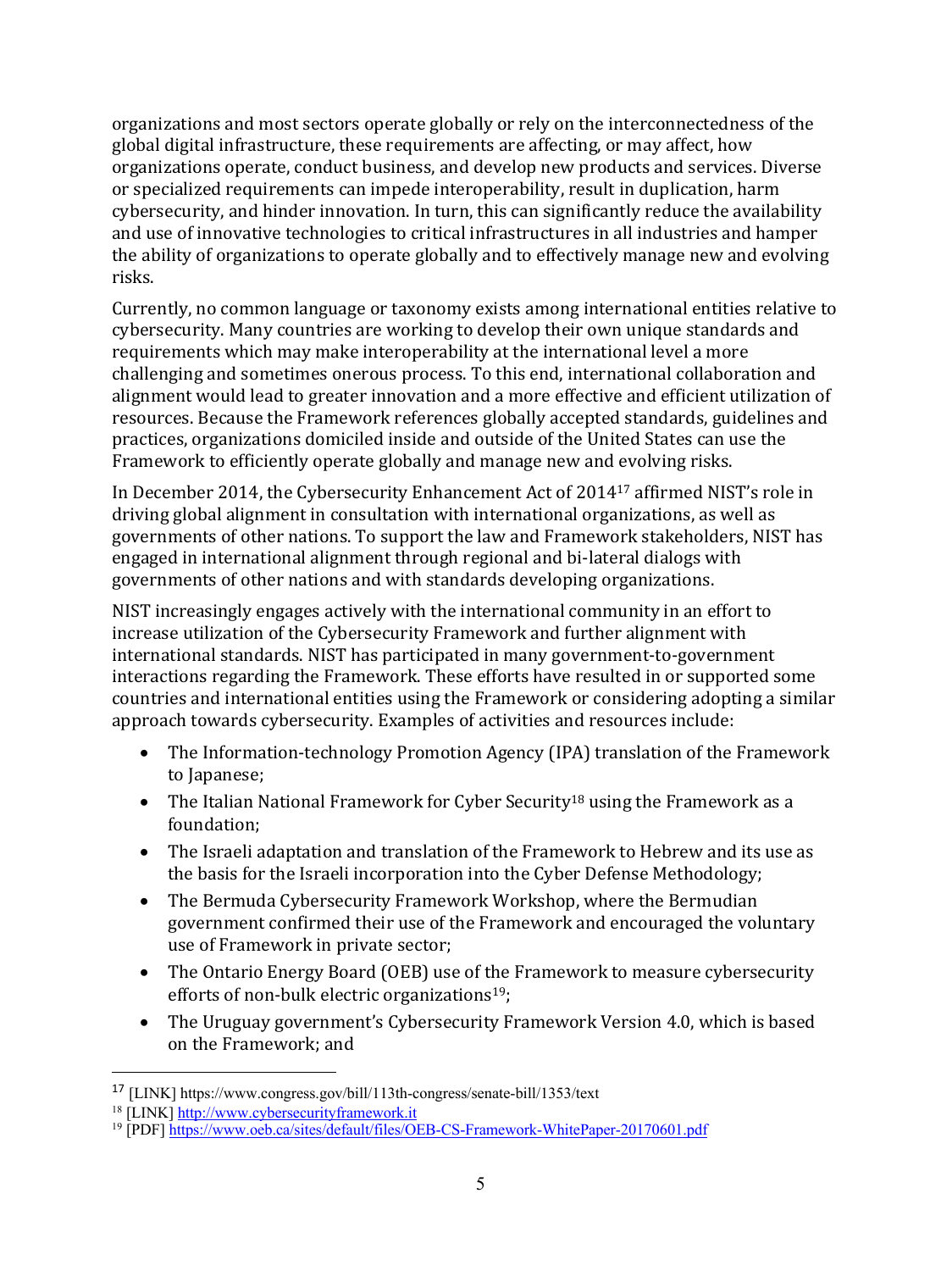organizations and most sectors operate globally or rely on the interconnectedness of the global digital infrastructure, these requirements are affecting, or may affect, how organizations operate, conduct business, and develop new products and services. Diverse or specialized requirements can impede interoperability, result in duplication, harm cybersecurity, and hinder innovation. In turn, this can significantly reduce the availability and use of innovative technologies to critical infrastructures in all industries and hamper the ability of organizations to operate globally and to effectively manage new and evolving risks.

Currently, no common language or taxonomy exists among international entities relative to cybersecurity. Many countries are working to develop their own unique standards and requirements which may make interoperability at the international level a more challenging and sometimes onerous process. To this end, international collaboration and alignment would lead to greater innovation and a more effective and efficient utilization of resources. Because the Framework references globally accepted standards, guidelines and practices, organizations domiciled inside and outside of the United States can use the Framework to efficiently operate globally and manage new and evolving risks.

In December 2014, the Cybersecurity Enhancement Act of 2014<sup>17</sup> affirmed NIST's role in driving global alignment in consultation with international organizations, as well as governments of other nations. To support the law and Framework stakeholders, NIST has engaged in international alignment through regional and bi-lateral dialogs with governments of other nations and with standards developing organizations.

NIST increasingly engages actively with the international community in an effort to increase utilization of the Cybersecurity Framework and further alignment with international standards. NIST has participated in many government-to-government interactions regarding the Framework. These efforts have resulted in or supported some countries and international entities using the Framework or considering adopting a similar approach towards cybersecurity. Examples of activities and resources include:

- The Information-technology Promotion Agency (IPA) translation of the Framework to Japanese;
- The Italian National Framework for Cyber Security<sup>18</sup> using the Framework as a foundation;
- The Israeli adaptation and translation of the Framework to Hebrew and its use as the basis for the Israeli incorporation into the Cyber Defense Methodology;
- The Bermuda Cybersecurity Framework Workshop, where the Bermudian government confirmed their use of the Framework and encouraged the voluntary use of Framework in private sector;
- The Ontario Energy Board (OEB) use of the Framework to measure cybersecurity efforts of non-bulk electric organizations<sup>19</sup>;
- The Uruguay government's Cybersecurity Framework Version 4.0, which is based on the Framework; and

 $\overline{a}$ 

<sup>17</sup> [LINK] https://www.congress.gov/bill/113th-congress/senate-bill/1353/text

<sup>&</sup>lt;sup>18</sup> [LINK] http://www.cybersecurityframework.it

<sup>&</sup>lt;sup>19</sup> [PDF] https://www.oeb.ca/sites/default/files/OEB-CS-Framework-WhitePaper-20170601.pdf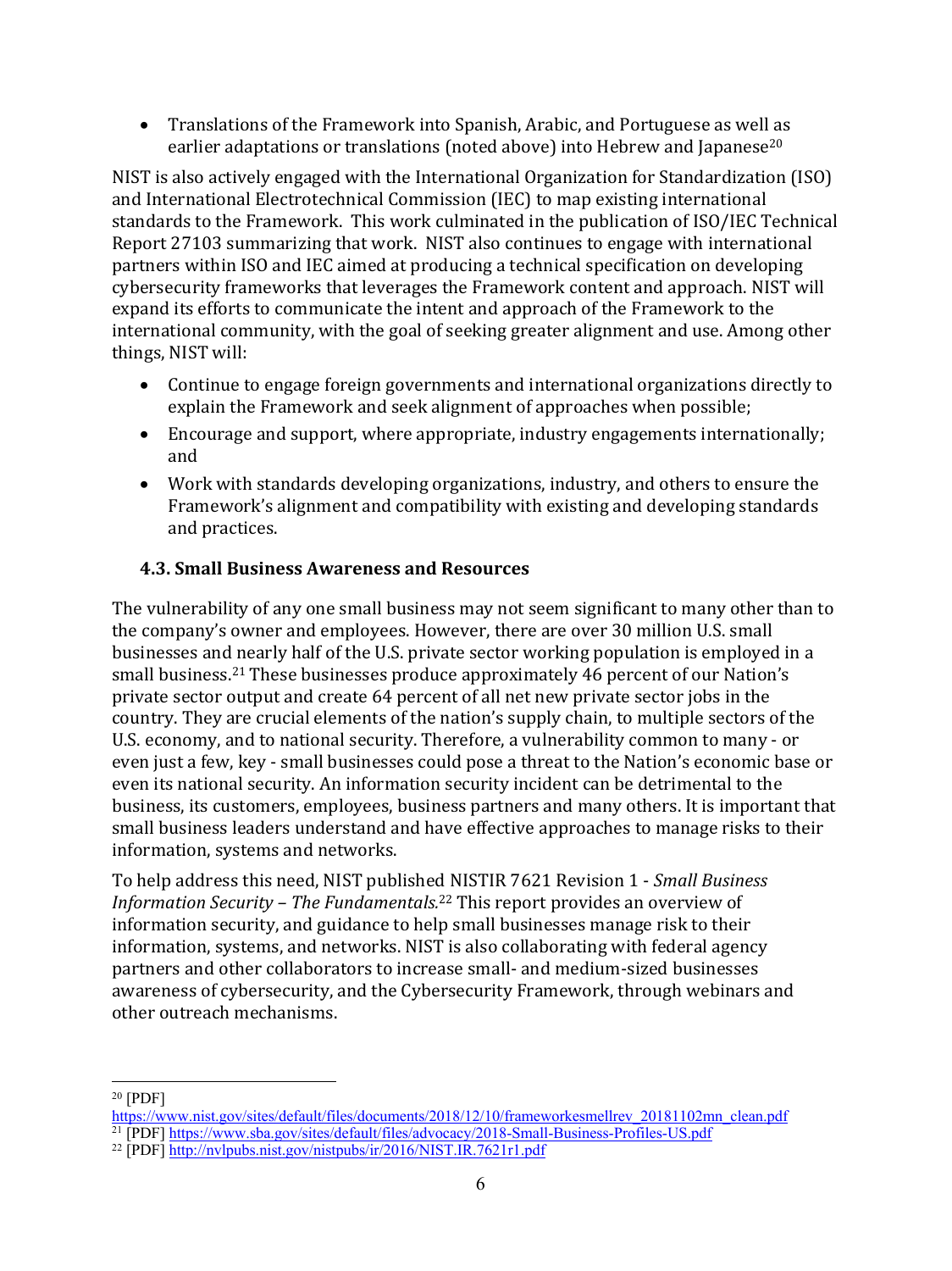• Translations of the Framework into Spanish, Arabic, and Portuguese as well as earlier adaptations or translations (noted above) into Hebrew and Japanese<sup>20</sup>

NIST is also actively engaged with the International Organization for Standardization (ISO) and International Electrotechnical Commission (IEC) to map existing international standards to the Framework. This work culminated in the publication of ISO/IEC Technical Report 27103 summarizing that work. NIST also continues to engage with international partners within ISO and IEC aimed at producing a technical specification on developing cybersecurity frameworks that leverages the Framework content and approach. NIST will expand its efforts to communicate the intent and approach of the Framework to the international community, with the goal of seeking greater alignment and use. Among other things, NIST will:

- Continue to engage foreign governments and international organizations directly to explain the Framework and seek alignment of approaches when possible;
- Encourage and support, where appropriate, industry engagements internationally; and
- Work with standards developing organizations, industry, and others to ensure the Framework's alignment and compatibility with existing and developing standards and practices.

#### **4.3. Small Business Awareness and Resources**

The vulnerability of any one small business may not seem significant to many other than to the company's owner and employees. However, there are over 30 million U.S. small businesses and nearly half of the U.S. private sector working population is employed in a small business.<sup>21</sup> These businesses produce approximately 46 percent of our Nation's private sector output and create 64 percent of all net new private sector jobs in the country. They are crucial elements of the nation's supply chain, to multiple sectors of the U.S. economy, and to national security. Therefore, a vulnerability common to many - or even just a few, key - small businesses could pose a threat to the Nation's economic base or even its national security. An information security incident can be detrimental to the business, its customers, employees, business partners and many others. It is important that small business leaders understand and have effective approaches to manage risks to their information, systems and networks.

To help address this need, NIST published NISTIR 7621 Revision 1 - *Small Business Information Security – The Fundamentals.*<sup>22</sup> This report provides an overview of information security, and guidance to help small businesses manage risk to their information, systems, and networks. NIST is also collaborating with federal agency partners and other collaborators to increase small- and medium-sized businesses awareness of cybersecurity, and the Cybersecurity Framework, through webinars and other outreach mechanisms.

 <sup>20</sup> [PDF]

https://www.nist.gov/sites/default/files/documents/2018/12/10/frameworkesmellrev\_20181102mn\_clean.pdf <sup>21</sup> [PDF] https://www.sba.gov/sites/default/files/advocacy/2018-Small-Business-Profiles-US.pdf

<sup>22</sup> [PDF] http://nvlpubs.nist.gov/nistpubs/ir/2016/NIST.IR.7621r1.pdf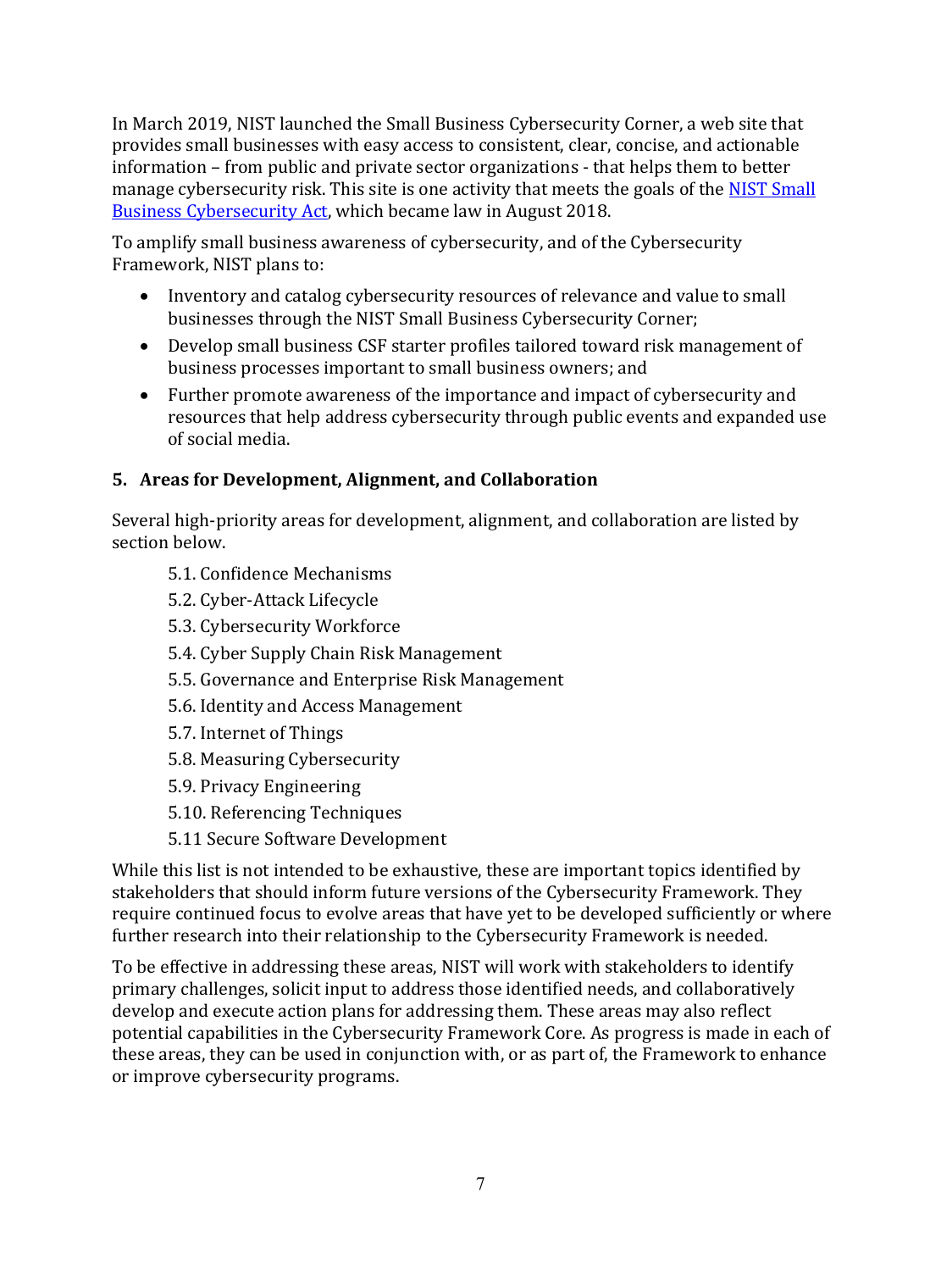In March 2019, NIST launched the Small Business Cybersecurity Corner, a web site that provides small businesses with easy access to consistent, clear, concise, and actionable information – from public and private sector organizations - that helps them to better manage cybersecurity risk. This site is one activity that meets the goals of the NIST Small Business Cybersecurity Act, which became law in August 2018.

To amplify small business awareness of cybersecurity, and of the Cybersecurity Framework, NIST plans to:

- Inventory and catalog cybersecurity resources of relevance and value to small businesses through the NIST Small Business Cybersecurity Corner;
- Develop small business CSF starter profiles tailored toward risk management of business processes important to small business owners; and
- Further promote awareness of the importance and impact of cybersecurity and resources that help address cybersecurity through public events and expanded use of social media.

## **5. Areas for Development, Alignment, and Collaboration**

Several high-priority areas for development, alignment, and collaboration are listed by section below.

- 5.1. Confidence Mechanisms
- 5.2. Cyber-Attack Lifecycle
- 5.3. Cybersecurity Workforce
- 5.4. Cyber Supply Chain Risk Management
- 5.5. Governance and Enterprise Risk Management
- 5.6. Identity and Access Management
- 5.7. Internet of Things
- 5.8. Measuring Cybersecurity
- 5.9. Privacy Engineering
- 5.10. Referencing Techniques
- 5.11 Secure Software Development

While this list is not intended to be exhaustive, these are important topics identified by stakeholders that should inform future versions of the Cybersecurity Framework. They require continued focus to evolve areas that have yet to be developed sufficiently or where further research into their relationship to the Cybersecurity Framework is needed.

To be effective in addressing these areas, NIST will work with stakeholders to identify primary challenges, solicit input to address those identified needs, and collaboratively develop and execute action plans for addressing them. These areas may also reflect potential capabilities in the Cybersecurity Framework Core. As progress is made in each of these areas, they can be used in conjunction with, or as part of, the Framework to enhance or improve cybersecurity programs.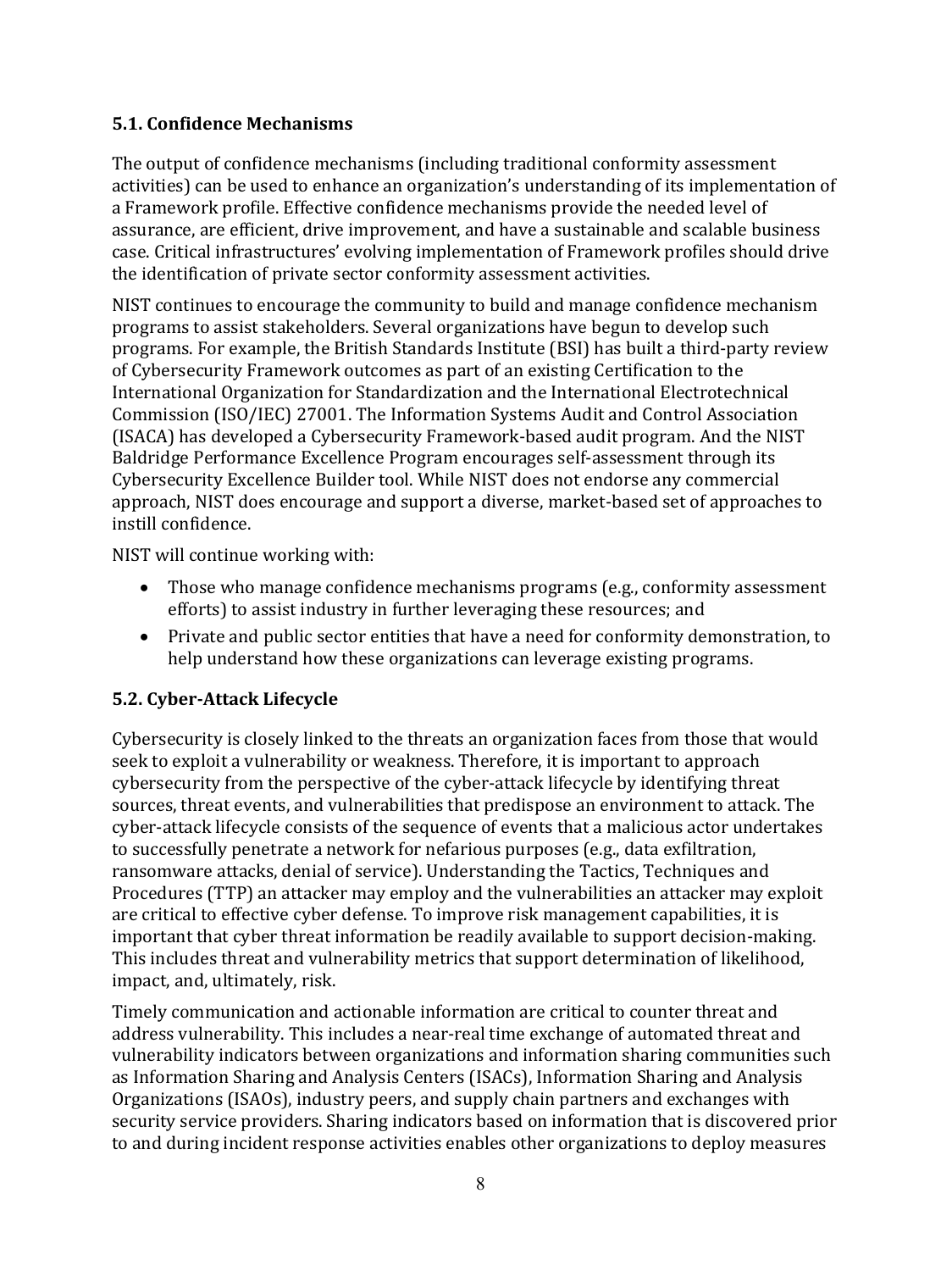#### **5.1. Confidence Mechanisms**

The output of confidence mechanisms (including traditional conformity assessment activities) can be used to enhance an organization's understanding of its implementation of a Framework profile. Effective confidence mechanisms provide the needed level of assurance, are efficient, drive improvement, and have a sustainable and scalable business case. Critical infrastructures' evolving implementation of Framework profiles should drive the identification of private sector conformity assessment activities.

NIST continues to encourage the community to build and manage confidence mechanism programs to assist stakeholders. Several organizations have begun to develop such programs. For example, the British Standards Institute (BSI) has built a third-party review of Cybersecurity Framework outcomes as part of an existing Certification to the International Organization for Standardization and the International Electrotechnical Commission (ISO/IEC) 27001. The Information Systems Audit and Control Association (ISACA) has developed a Cybersecurity Framework-based audit program. And the NIST Baldridge Performance Excellence Program encourages self-assessment through its Cybersecurity Excellence Builder tool. While NIST does not endorse any commercial approach, NIST does encourage and support a diverse, market-based set of approaches to instill confidence.

NIST will continue working with:

- Those who manage confidence mechanisms programs (e.g., conformity assessment efforts) to assist industry in further leveraging these resources; and
- Private and public sector entities that have a need for conformity demonstration, to help understand how these organizations can leverage existing programs.

#### **5.2. Cyber-Attack Lifecycle**

Cybersecurity is closely linked to the threats an organization faces from those that would seek to exploit a vulnerability or weakness. Therefore, it is important to approach cybersecurity from the perspective of the cyber-attack lifecycle by identifying threat sources, threat events, and vulnerabilities that predispose an environment to attack. The cyber-attack lifecycle consists of the sequence of events that a malicious actor undertakes to successfully penetrate a network for nefarious purposes (e.g., data exfiltration, ransomware attacks, denial of service). Understanding the Tactics, Techniques and Procedures (TTP) an attacker may employ and the vulnerabilities an attacker may exploit are critical to effective cyber defense. To improve risk management capabilities, it is important that cyber threat information be readily available to support decision-making. This includes threat and vulnerability metrics that support determination of likelihood, impact, and, ultimately, risk.

Timely communication and actionable information are critical to counter threat and address vulnerability. This includes a near-real time exchange of automated threat and vulnerability indicators between organizations and information sharing communities such as Information Sharing and Analysis Centers (ISACs), Information Sharing and Analysis Organizations (ISAOs), industry peers, and supply chain partners and exchanges with security service providers. Sharing indicators based on information that is discovered prior to and during incident response activities enables other organizations to deploy measures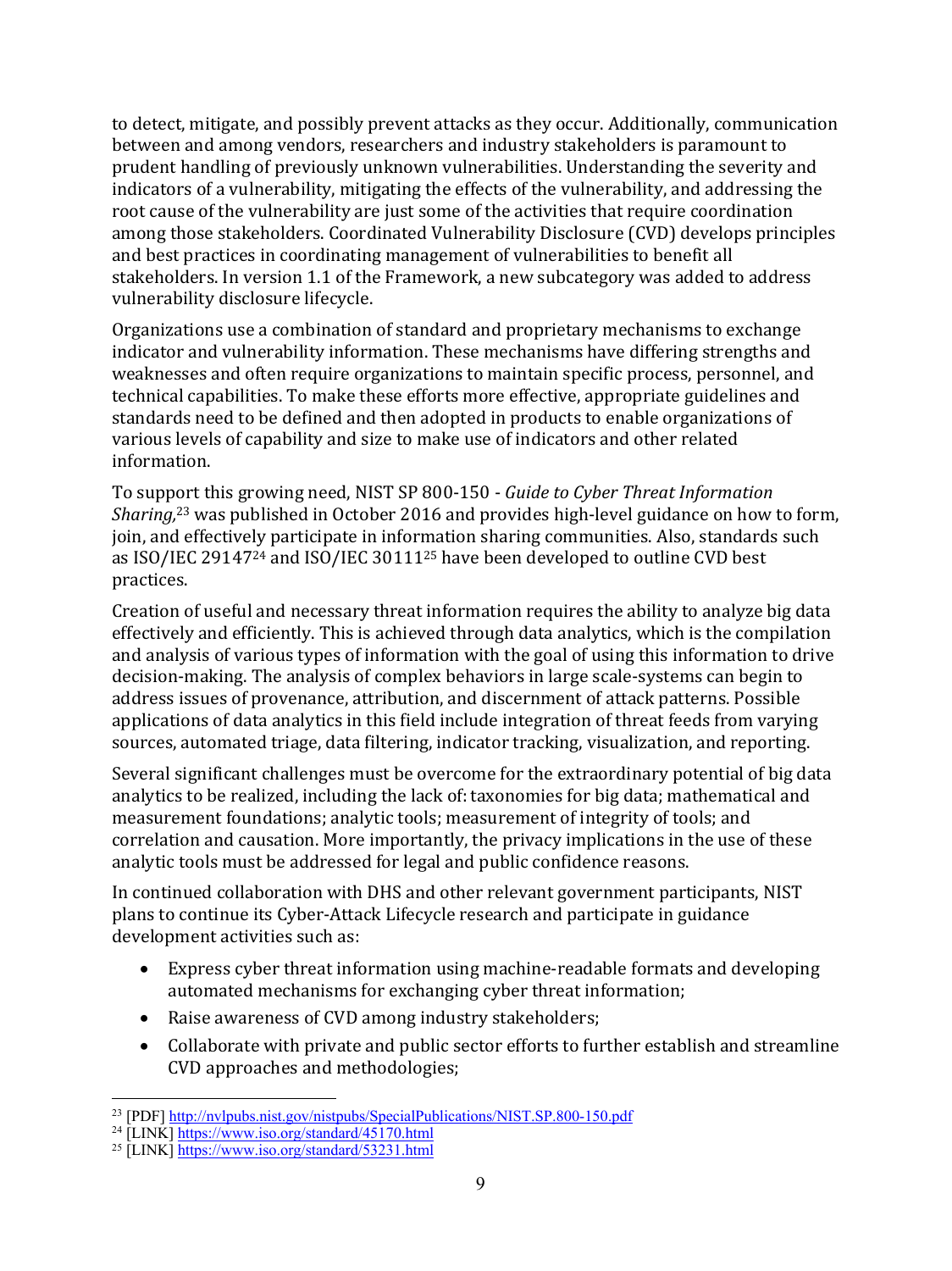to detect, mitigate, and possibly prevent attacks as they occur. Additionally, communication between and among vendors, researchers and industry stakeholders is paramount to prudent handling of previously unknown vulnerabilities. Understanding the severity and indicators of a vulnerability, mitigating the effects of the vulnerability, and addressing the root cause of the vulnerability are just some of the activities that require coordination among those stakeholders. Coordinated Vulnerability Disclosure (CVD) develops principles and best practices in coordinating management of vulnerabilities to benefit all stakeholders. In version 1.1 of the Framework, a new subcategory was added to address vulnerability disclosure lifecycle.

Organizations use a combination of standard and proprietary mechanisms to exchange indicator and vulnerability information. These mechanisms have differing strengths and weaknesses and often require organizations to maintain specific process, personnel, and technical capabilities. To make these efforts more effective, appropriate guidelines and standards need to be defined and then adopted in products to enable organizations of various levels of capability and size to make use of indicators and other related information. 

To support this growing need, NIST SP 800-150 - *Guide to Cyber Threat Information* Sharing,<sup>23</sup> was published in October 2016 and provides high-level guidance on how to form, join, and effectively participate in information sharing communities. Also, standards such as ISO/IEC 29147<sup>24</sup> and ISO/IEC 30111<sup>25</sup> have been developed to outline CVD best practices.

Creation of useful and necessary threat information requires the ability to analyze big data effectively and efficiently. This is achieved through data analytics, which is the compilation and analysis of various types of information with the goal of using this information to drive decision-making. The analysis of complex behaviors in large scale-systems can begin to address issues of provenance, attribution, and discernment of attack patterns. Possible applications of data analytics in this field include integration of threat feeds from varying sources, automated triage, data filtering, indicator tracking, visualization, and reporting.

Several significant challenges must be overcome for the extraordinary potential of big data analytics to be realized, including the lack of: taxonomies for big data; mathematical and measurement foundations; analytic tools; measurement of integrity of tools; and correlation and causation. More importantly, the privacy implications in the use of these analytic tools must be addressed for legal and public confidence reasons.

In continued collaboration with DHS and other relevant government participants, NIST plans to continue its Cyber-Attack Lifecycle research and participate in guidance development activities such as:

- Express cyber threat information using machine-readable formats and developing automated mechanisms for exchanging cyber threat information;
- Raise awareness of CVD among industry stakeholders;
- Collaborate with private and public sector efforts to further establish and streamline CVD approaches and methodologies;

<sup>&</sup>lt;sup>23</sup> [PDF] http://nvlpubs.nist.gov/nistpubs/SpecialPublications/NIST.SP.800-150.pdf

<sup>&</sup>lt;sup>24</sup> [LINK] https://www.iso.org/standard/45170.html

<sup>25</sup> [LINK] https://www.iso.org/standard/53231.html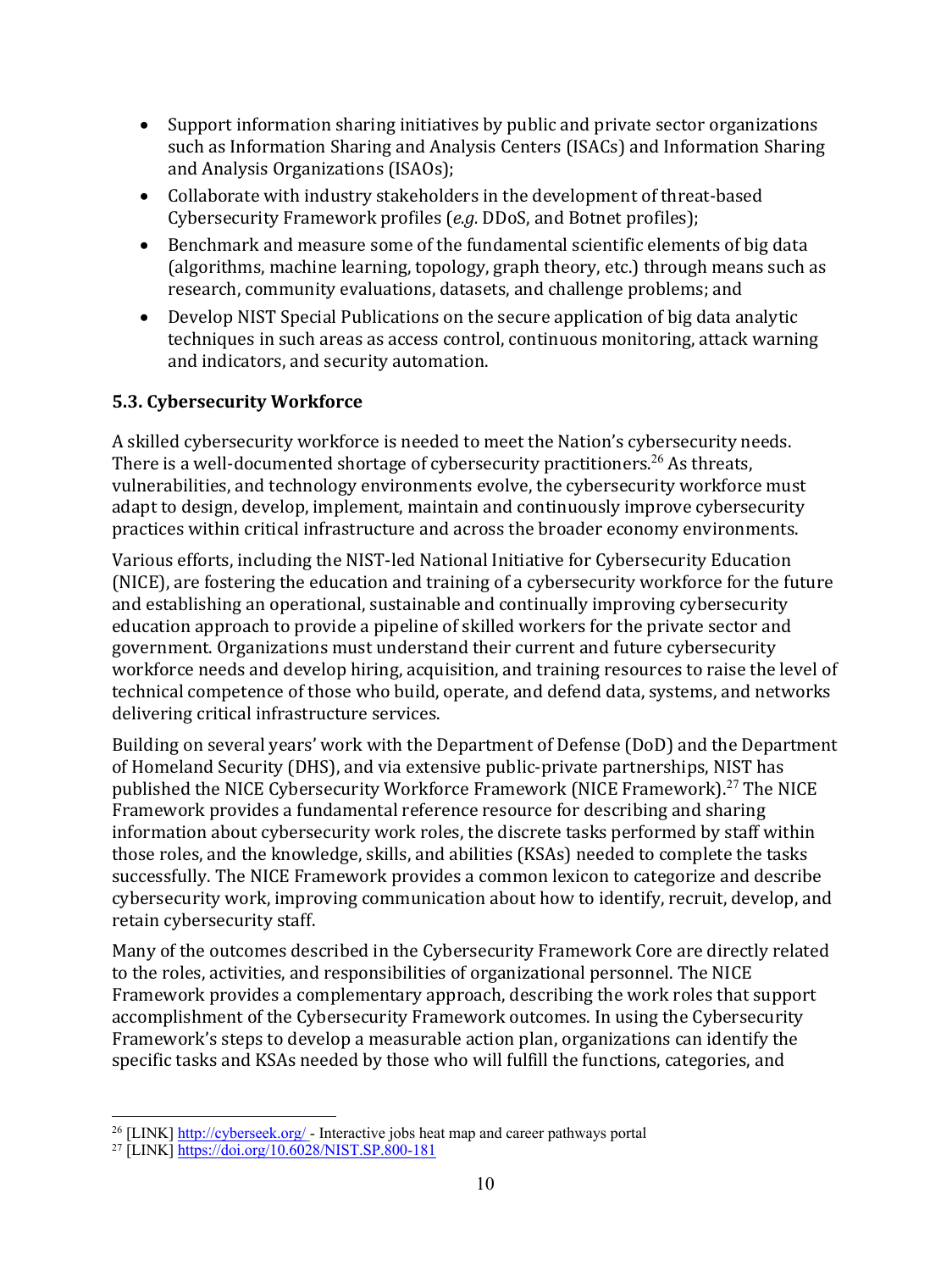- Support information sharing initiatives by public and private sector organizations such as Information Sharing and Analysis Centers (ISACs) and Information Sharing and Analysis Organizations (ISAOs);
- Collaborate with industry stakeholders in the development of threat-based Cybersecurity Framework profiles (*e.g.* DDoS, and Botnet profiles);
- Benchmark and measure some of the fundamental scientific elements of big data (algorithms, machine learning, topology, graph theory, etc.) through means such as research, community evaluations, datasets, and challenge problems; and
- Develop NIST Special Publications on the secure application of big data analytic techniques in such areas as access control, continuous monitoring, attack warning and indicators, and security automation.

## **5.3. Cybersecurity Workforce**

A skilled cybersecurity workforce is needed to meet the Nation's cybersecurity needs. There is a well-documented shortage of cybersecurity practitioners. $^{26}$  As threats, vulnerabilities, and technology environments evolve, the cybersecurity workforce must adapt to design, develop, implement, maintain and continuously improve cybersecurity practices within critical infrastructure and across the broader economy environments.

Various efforts, including the NIST-led National Initiative for Cybersecurity Education (NICE), are fostering the education and training of a cybersecurity workforce for the future and establishing an operational, sustainable and continually improving cybersecurity education approach to provide a pipeline of skilled workers for the private sector and government. Organizations must understand their current and future cybersecurity workforce needs and develop hiring, acquisition, and training resources to raise the level of technical competence of those who build, operate, and defend data, systems, and networks delivering critical infrastructure services.

Building on several years' work with the Department of Defense (DoD) and the Department of Homeland Security (DHS), and via extensive public-private partnerships, NIST has published the NICE Cybersecurity Workforce Framework (NICE Framework).<sup>27</sup> The NICE Framework provides a fundamental reference resource for describing and sharing information about cybersecurity work roles, the discrete tasks performed by staff within those roles, and the knowledge, skills, and abilities (KSAs) needed to complete the tasks successfully. The NICE Framework provides a common lexicon to categorize and describe cybersecurity work, improving communication about how to identify, recruit, develop, and retain cybersecurity staff.

Many of the outcomes described in the Cybersecurity Framework Core are directly related to the roles, activities, and responsibilities of organizational personnel. The NICE Framework provides a complementary approach, describing the work roles that support accomplishment of the Cybersecurity Framework outcomes. In using the Cybersecurity Framework's steps to develop a measurable action plan, organizations can identify the specific tasks and KSAs needed by those who will fulfill the functions, categories, and

<sup>&</sup>lt;sup>26</sup> [LINK] http://cyberseek.org/ - Interactive jobs heat map and career pathways portal

<sup>27</sup> [LINK] https://doi.org/10.6028/NIST.SP.800-181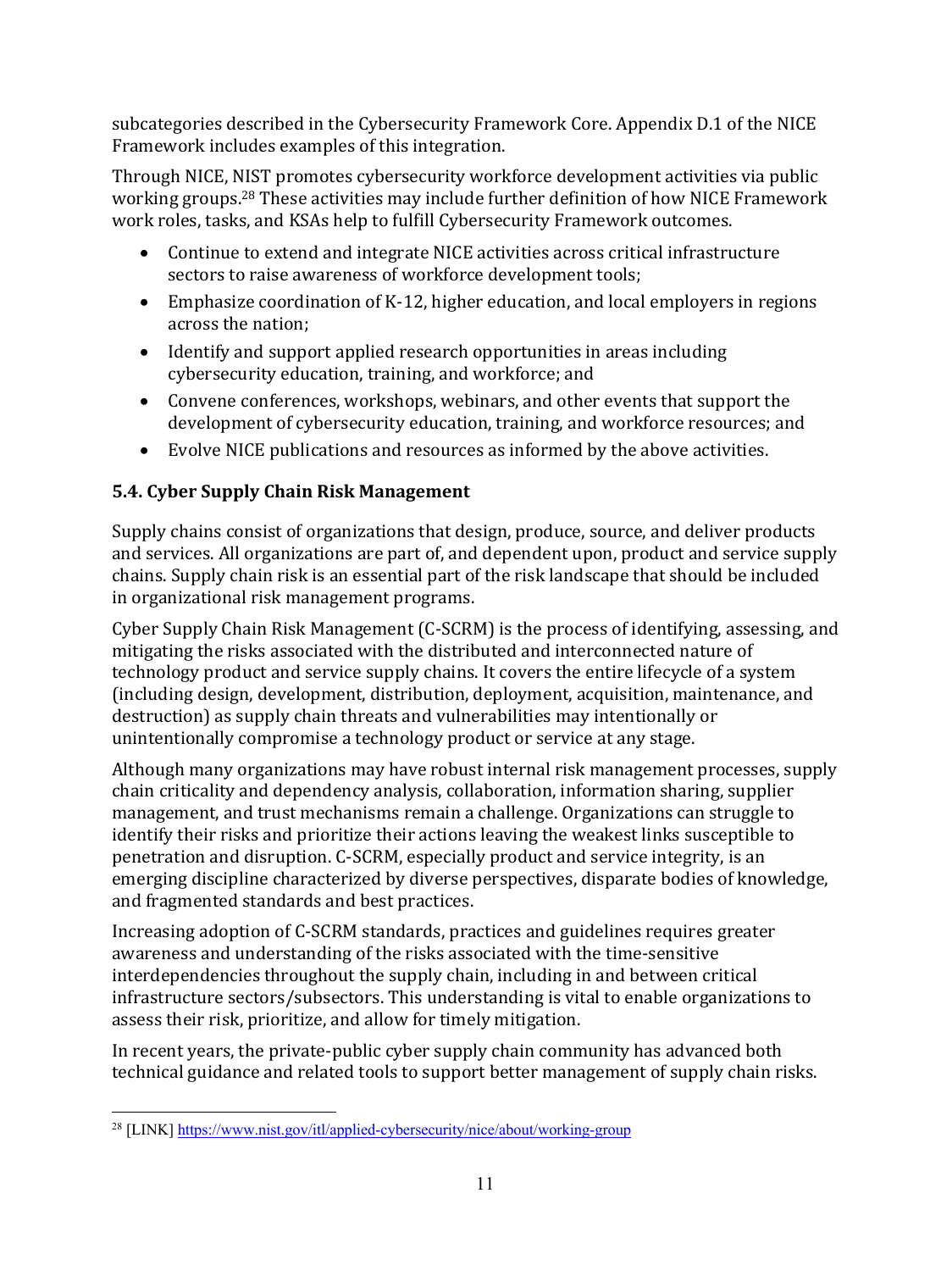subcategories described in the Cybersecurity Framework Core. Appendix D.1 of the NICE Framework includes examples of this integration.

Through NICE, NIST promotes cybersecurity workforce development activities via public working groups.<sup>28</sup> These activities may include further definition of how NICE Framework work roles, tasks, and KSAs help to fulfill Cybersecurity Framework outcomes.

- Continue to extend and integrate NICE activities across critical infrastructure sectors to raise awareness of workforce development tools;
- Emphasize coordination of K-12, higher education, and local employers in regions across the nation;
- Identify and support applied research opportunities in areas including cybersecurity education, training, and workforce; and
- Convene conferences, workshops, webinars, and other events that support the development of cybersecurity education, training, and workforce resources; and
- Evolve NICE publications and resources as informed by the above activities.

# **5.4. Cyber Supply Chain Risk Management**

Supply chains consist of organizations that design, produce, source, and deliver products and services. All organizations are part of, and dependent upon, product and service supply chains. Supply chain risk is an essential part of the risk landscape that should be included in organizational risk management programs.

Cyber Supply Chain Risk Management  $(C-SCRM)$  is the process of identifying, assessing, and mitigating the risks associated with the distributed and interconnected nature of technology product and service supply chains. It covers the entire lifecycle of a system (including design, development, distribution, deployment, acquisition, maintenance, and destruction) as supply chain threats and vulnerabilities may intentionally or unintentionally compromise a technology product or service at any stage.

Although many organizations may have robust internal risk management processes, supply chain criticality and dependency analysis, collaboration, information sharing, supplier management, and trust mechanisms remain a challenge. Organizations can struggle to identify their risks and prioritize their actions leaving the weakest links susceptible to penetration and disruption. C-SCRM, especially product and service integrity, is an emerging discipline characterized by diverse perspectives, disparate bodies of knowledge, and fragmented standards and best practices.

Increasing adoption of C-SCRM standards, practices and guidelines requires greater awareness and understanding of the risks associated with the time-sensitive interdependencies throughout the supply chain, including in and between critical infrastructure sectors/subsectors. This understanding is vital to enable organizations to assess their risk, prioritize, and allow for timely mitigation.

In recent years, the private-public cyber supply chain community has advanced both technical guidance and related tools to support better management of supply chain risks.

 <sup>28</sup> [LINK] https://www.nist.gov/itl/applied-cybersecurity/nice/about/working-group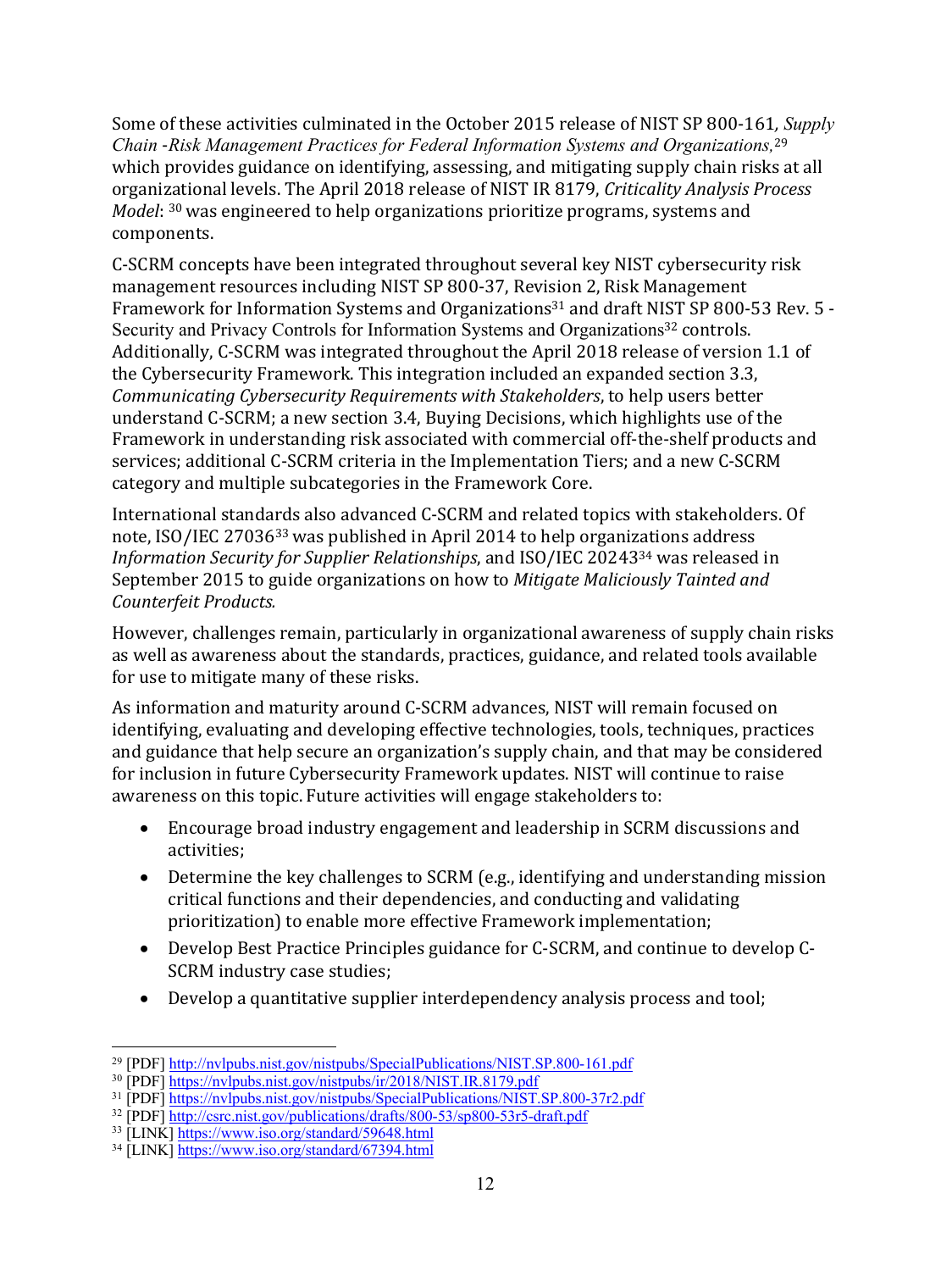Some of these activities culminated in the October 2015 release of NIST SP 800-161*, Supply Chain* -*Risk Management Practices for Federal Information Systems and Organizations,* 29 which provides guidance on identifying, assessing, and mitigating supply chain risks at all organizational levels. The April 2018 release of NIST IR 8179, *Criticality Analysis Process Model*: <sup>30</sup> was engineered to help organizations prioritize programs, systems and components. 

C-SCRM concepts have been integrated throughout several key NIST cybersecurity risk management resources including NIST SP 800-37, Revision 2, Risk Management Framework for Information Systems and Organizations<sup>31</sup> and draft NIST SP 800-53 Rev. 5 -Security and Privacy Controls for Information Systems and Organizations<sup>32</sup> controls. Additionally, C-SCRM was integrated throughout the April 2018 release of version 1.1 of the Cybersecurity Framework. This integration included an expanded section 3.3, *Communicating Cybersecurity Requirements with Stakeholders, to help users better* understand C-SCRM; a new section 3.4, Buying Decisions, which highlights use of the Framework in understanding risk associated with commercial off-the-shelf products and services; additional C-SCRM criteria in the Implementation Tiers; and a new C-SCRM category and multiple subcategories in the Framework Core.

International standards also advanced C-SCRM and related topics with stakeholders. Of note, ISO/IEC 27036<sup>33</sup> was published in April 2014 to help organizations address *Information Security for Supplier Relationships*, and ISO/IEC 20243<sup>34</sup> was released in September 2015 to guide organizations on how to Mitigate Maliciously Tainted and *Counterfeit Products.*

However, challenges remain, particularly in organizational awareness of supply chain risks as well as awareness about the standards, practices, guidance, and related tools available for use to mitigate many of these risks.

As information and maturity around C-SCRM advances, NIST will remain focused on identifying, evaluating and developing effective technologies, tools, techniques, practices and guidance that help secure an organization's supply chain, and that may be considered for inclusion in future Cybersecurity Framework updates. NIST will continue to raise awareness on this topic. Future activities will engage stakeholders to:

- Encourage broad industry engagement and leadership in SCRM discussions and activities;
- Determine the key challenges to SCRM (e.g., identifying and understanding mission critical functions and their dependencies, and conducting and validating prioritization) to enable more effective Framework implementation;
- Develop Best Practice Principles guidance for C-SCRM, and continue to develop C-SCRM industry case studies;
- Develop a quantitative supplier interdependency analysis process and tool;

 <sup>29</sup> [PDF] http://nvlpubs.nist.gov/nistpubs/SpecialPublications/NIST.SP.800-161.pdf

<sup>30</sup> [PDF] https://nvlpubs.nist.gov/nistpubs/ir/2018/NIST.IR.8179.pdf

<sup>31</sup> [PDF] https://nvlpubs.nist.gov/nistpubs/SpecialPublications/NIST.SP.800-37r2.pdf

<sup>32</sup> [PDF] http://csrc.nist.gov/publications/drafts/800-53/sp800-53r5-draft.pdf

<sup>33</sup> [LINK] https://www.iso.org/standard/59648.html

<sup>34</sup> [LINK] https://www.iso.org/standard/67394.html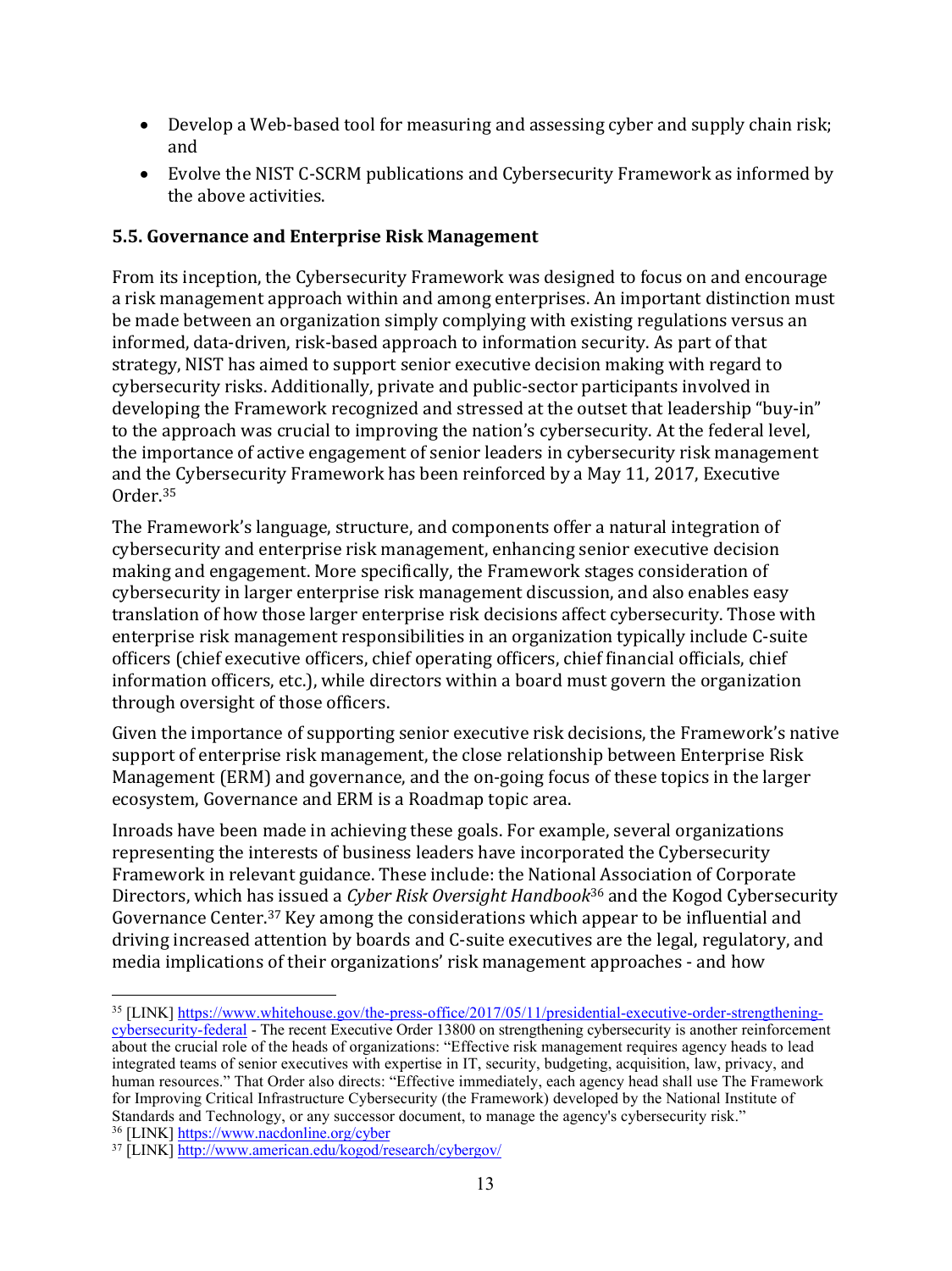- Develop a Web-based tool for measuring and assessing cyber and supply chain risk; and
- Evolve the NIST C-SCRM publications and Cybersecurity Framework as informed by the above activities.

#### **5.5. Governance and Enterprise Risk Management**

From its inception, the Cybersecurity Framework was designed to focus on and encourage a risk management approach within and among enterprises. An important distinction must be made between an organization simply complying with existing regulations versus an informed, data-driven, risk-based approach to information security. As part of that strategy, NIST has aimed to support senior executive decision making with regard to cybersecurity risks. Additionally, private and public-sector participants involved in developing the Framework recognized and stressed at the outset that leadership "buy-in" to the approach was crucial to improving the nation's cybersecurity. At the federal level, the importance of active engagement of senior leaders in cybersecurity risk management and the Cybersecurity Framework has been reinforced by a May 11, 2017, Executive Order.35

The Framework's language, structure, and components offer a natural integration of cybersecurity and enterprise risk management, enhancing senior executive decision making and engagement. More specifically, the Framework stages consideration of cybersecurity in larger enterprise risk management discussion, and also enables easy translation of how those larger enterprise risk decisions affect cybersecurity. Those with enterprise risk management responsibilities in an organization typically include C-suite officers (chief executive officers, chief operating officers, chief financial officials, chief information officers, etc.), while directors within a board must govern the organization through oversight of those officers.

Given the importance of supporting senior executive risk decisions, the Framework's native support of enterprise risk management, the close relationship between Enterprise Risk Management (ERM) and governance, and the on-going focus of these topics in the larger ecosystem, Governance and ERM is a Roadmap topic area.

Inroads have been made in achieving these goals. For example, several organizations representing the interests of business leaders have incorporated the Cybersecurity Framework in relevant guidance. These include: the National Association of Corporate Directors, which has issued a *Cyber Risk Oversight Handbook*<sup>36</sup> and the Kogod Cybersecurity Governance Center.<sup>37</sup> Key among the considerations which appear to be influential and driving increased attention by boards and C-suite executives are the legal, regulatory, and media implications of their organizations' risk management approaches - and how

cybersecurity-federal - The recent Executive Order 13800 on strengthening cybersecurity is another reinforcement about the crucial role of the heads of organizations: "Effective risk management requires agency heads to lead integrated teams of senior executives with expertise in IT, security, budgeting, acquisition, law, privacy, and human resources." That Order also directs: "Effective immediately, each agency head shall use The Framework for Improving Critical Infrastructure Cybersecurity (the Framework) developed by the National Institute of Standards and Technology, or any successor document, to manage the agency's cybersecurity risk."

<sup>36</sup> [LINK] https://www.nacdonline.org/cyber

<sup>&</sup>lt;sup>35</sup> [LINK] https://www.whitehouse.gov/the-press-office/2017/05/11/presidential-executive-order-strengthening-

<sup>37</sup> [LINK] http://www.american.edu/kogod/research/cybergov/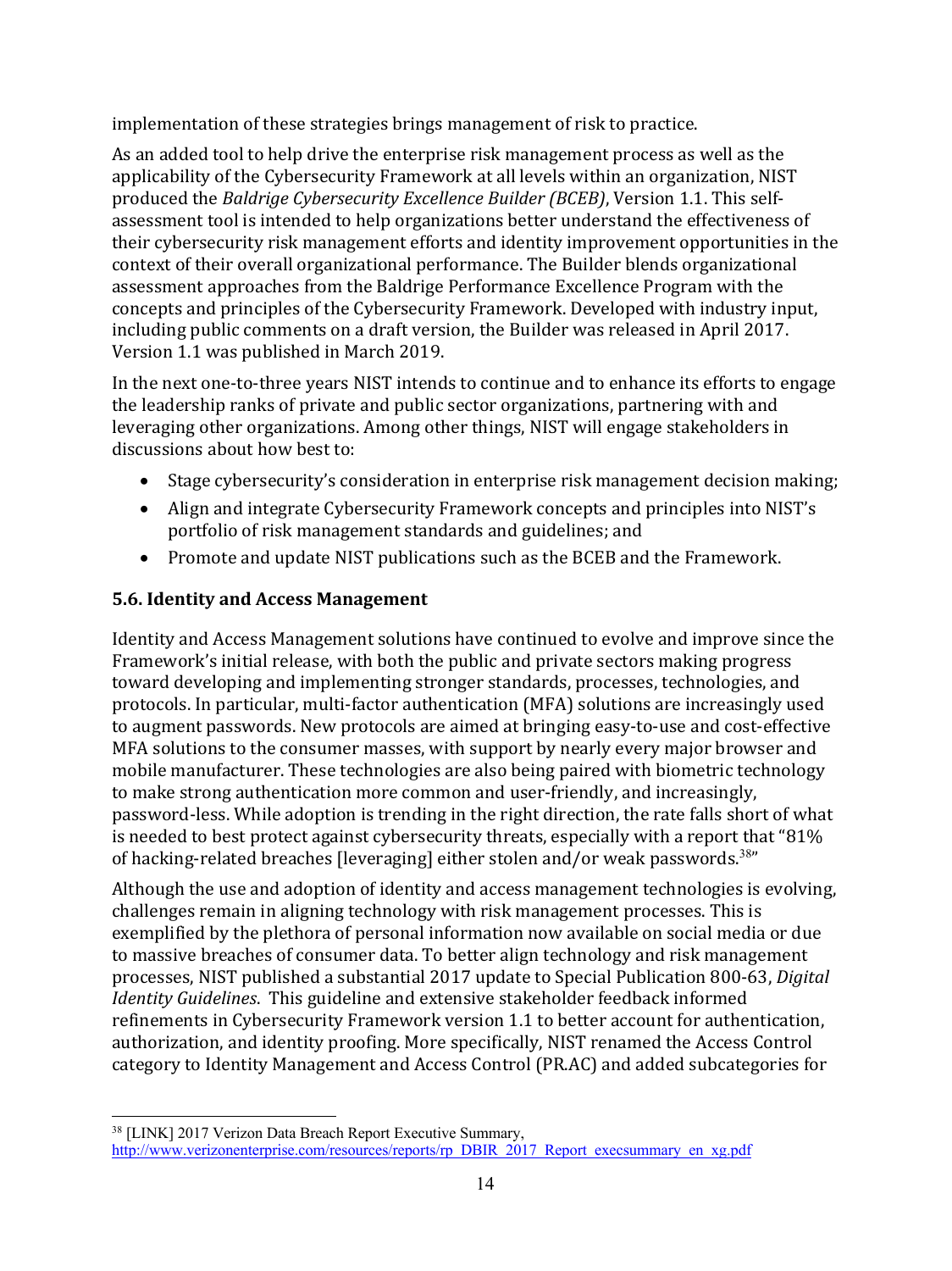implementation of these strategies brings management of risk to practice.

As an added tool to help drive the enterprise risk management process as well as the applicability of the Cybersecurity Framework at all levels within an organization, NIST produced the *Baldrige Cybersecurity Excellence Builder (BCEB)*, Version 1.1. This selfassessment tool is intended to help organizations better understand the effectiveness of their cybersecurity risk management efforts and identity improvement opportunities in the context of their overall organizational performance. The Builder blends organizational assessment approaches from the Baldrige Performance Excellence Program with the concepts and principles of the Cybersecurity Framework. Developed with industry input, including public comments on a draft version, the Builder was released in April 2017. Version 1.1 was published in March 2019.

In the next one-to-three years NIST intends to continue and to enhance its efforts to engage the leadership ranks of private and public sector organizations, partnering with and leveraging other organizations. Among other things, NIST will engage stakeholders in discussions about how best to:

- Stage cybersecurity's consideration in enterprise risk management decision making;
- Align and integrate Cybersecurity Framework concepts and principles into NIST's portfolio of risk management standards and guidelines; and
- Promote and update NIST publications such as the BCEB and the Framework.

#### **5.6. Identity and Access Management**

Identity and Access Management solutions have continued to evolve and improve since the Framework's initial release, with both the public and private sectors making progress toward developing and implementing stronger standards, processes, technologies, and protocols. In particular, multi-factor authentication (MFA) solutions are increasingly used to augment passwords. New protocols are aimed at bringing easy-to-use and cost-effective MFA solutions to the consumer masses, with support by nearly every major browser and mobile manufacturer. These technologies are also being paired with biometric technology to make strong authentication more common and user-friendly, and increasingly, password-less. While adoption is trending in the right direction, the rate falls short of what is needed to best protect against cybersecurity threats, especially with a report that "81% of hacking-related breaches [leveraging] either stolen and/or weak passwords.<sup>38</sup>"

Although the use and adoption of identity and access management technologies is evolving, challenges remain in aligning technology with risk management processes. This is exemplified by the plethora of personal information now available on social media or due to massive breaches of consumer data. To better align technology and risk management processes, NIST published a substantial 2017 update to Special Publication 800-63, *Digital Identity Guidelines*. This guideline and extensive stakeholder feedback informed refinements in Cybersecurity Framework version 1.1 to better account for authentication, authorization, and identity proofing. More specifically, NIST renamed the Access Control category to Identity Management and Access Control (PR.AC) and added subcategories for

 <sup>38</sup> [LINK] 2017 Verizon Data Breach Report Executive Summary, http://www.verizonenterprise.com/resources/reports/rp\_DBIR\_2017\_Report\_execsummary\_en\_xg.pdf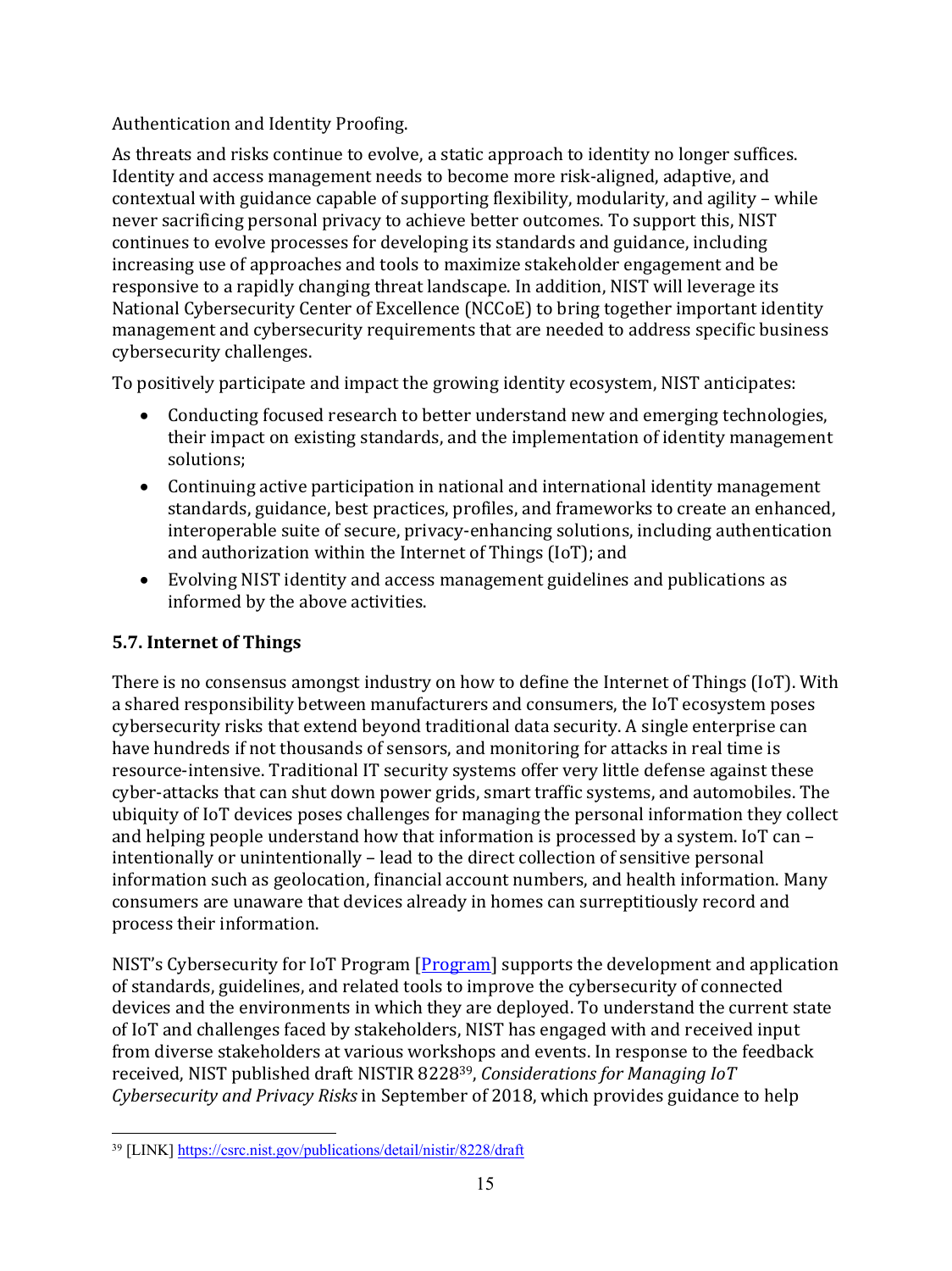## Authentication and Identity Proofing.

As threats and risks continue to evolve, a static approach to identity no longer suffices. Identity and access management needs to become more risk-aligned, adaptive, and contextual with guidance capable of supporting flexibility, modularity, and agility – while never sacrificing personal privacy to achieve better outcomes. To support this, NIST continues to evolve processes for developing its standards and guidance, including increasing use of approaches and tools to maximize stakeholder engagement and be responsive to a rapidly changing threat landscape. In addition, NIST will leverage its National Cybersecurity Center of Excellence (NCCoE) to bring together important identity management and cybersecurity requirements that are needed to address specific business cybersecurity challenges.

To positively participate and impact the growing identity ecosystem, NIST anticipates:

- Conducting focused research to better understand new and emerging technologies, their impact on existing standards, and the implementation of identity management solutions;
- Continuing active participation in national and international identity management standards, guidance, best practices, profiles, and frameworks to create an enhanced, interoperable suite of secure, privacy-enhancing solutions, including authentication and authorization within the Internet of Things (IoT); and
- Evolving NIST identity and access management guidelines and publications as informed by the above activities.

# **5.7. Internet of Things**

There is no consensus amongst industry on how to define the Internet of Things (IoT). With a shared responsibility between manufacturers and consumers, the IoT ecosystem poses cybersecurity risks that extend beyond traditional data security. A single enterprise can have hundreds if not thousands of sensors, and monitoring for attacks in real time is resource-intensive. Traditional IT security systems offer very little defense against these cyber-attacks that can shut down power grids, smart traffic systems, and automobiles. The ubiquity of IoT devices poses challenges for managing the personal information they collect and helping people understand how that information is processed by a system. IoT can  $$ intentionally or unintentionally - lead to the direct collection of sensitive personal information such as geolocation, financial account numbers, and health information. Many consumers are unaware that devices already in homes can surreptitiously record and process their information.

NIST's Cybersecurity for IoT Program [Program] supports the development and application of standards, guidelines, and related tools to improve the cybersecurity of connected devices and the environments in which they are deployed. To understand the current state of IoT and challenges faced by stakeholders, NIST has engaged with and received input from diverse stakeholders at various workshops and events. In response to the feedback received, NIST published draft NISTIR 8228<sup>39</sup>, *Considerations for Managing IoT Cybersecurity* and *Privacy Risks* in September of 2018, which provides guidance to help

 <sup>39</sup> [LINK] https://csrc.nist.gov/publications/detail/nistir/8228/draft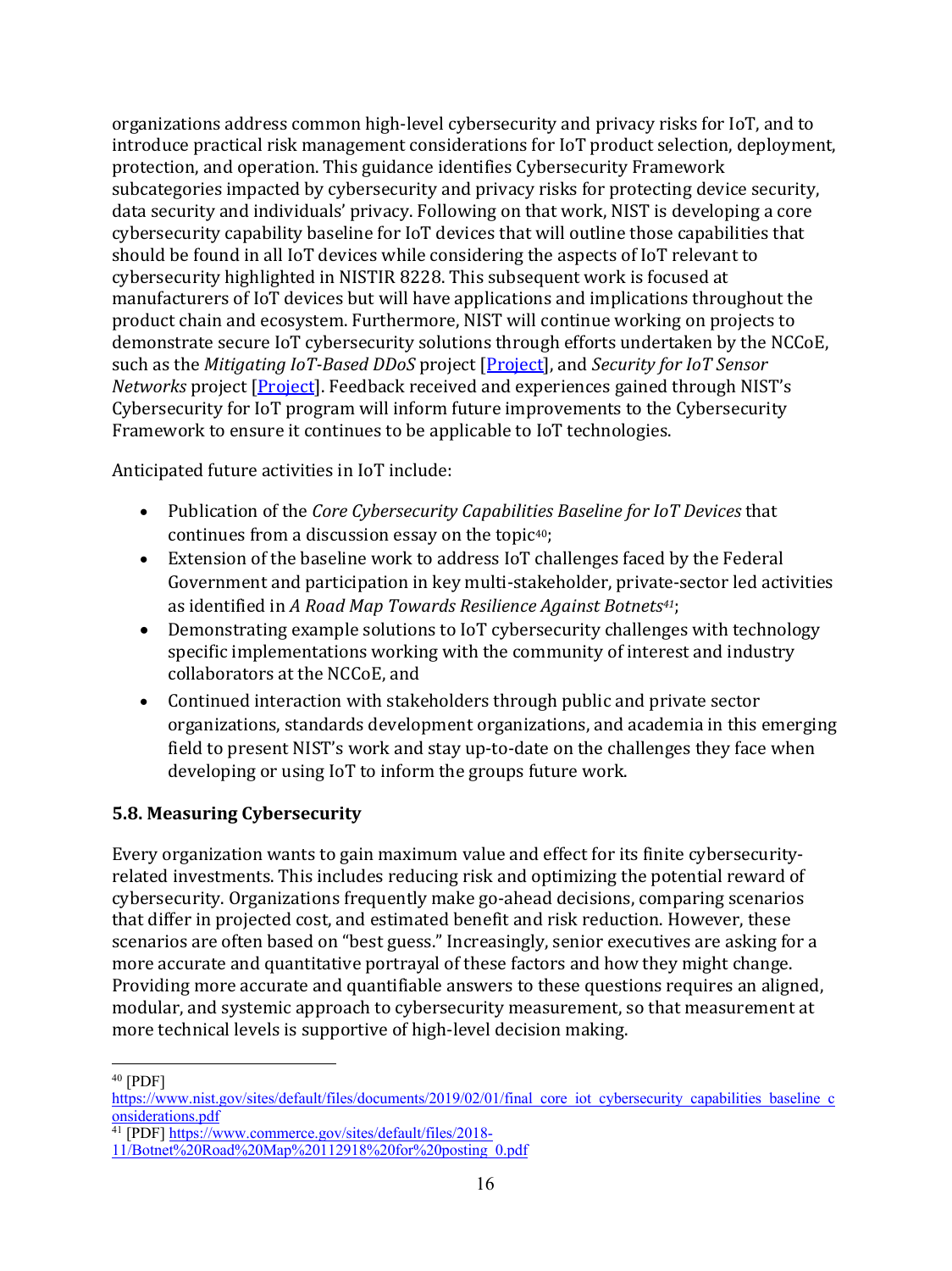organizations address common high-level cybersecurity and privacy risks for IoT, and to introduce practical risk management considerations for IoT product selection, deployment, protection, and operation. This guidance identifies Cybersecurity Framework subcategories impacted by cybersecurity and privacy risks for protecting device security, data security and individuals' privacy. Following on that work, NIST is developing a core cybersecurity capability baseline for IoT devices that will outline those capabilities that should be found in all IoT devices while considering the aspects of IoT relevant to cybersecurity highlighted in NISTIR 8228. This subsequent work is focused at manufacturers of IoT devices but will have applications and implications throughout the product chain and ecosystem. Furthermore, NIST will continue working on projects to demonstrate secure IoT cybersecurity solutions through efforts undertaken by the NCCoE, such as the *Mitigating IoT-Based DDoS* project [Project], and *Security for IoT Sensor Networks* project [*Project*]. Feedback received and experiences gained through NIST's Cybersecurity for IoT program will inform future improvements to the Cybersecurity Framework to ensure it continues to be applicable to IoT technologies.

Anticipated future activities in IoT include:

- Publication of the *Core Cybersecurity Capabilities Baseline for IoT Devices* that continues from a discussion essay on the topic $40$ ;
- Extension of the baseline work to address IoT challenges faced by the Federal Government and participation in key multi-stakeholder, private-sector led activities as identified in *A Road Map Towards Resilience Against Botnets<sup>41</sup>;*
- Demonstrating example solutions to IoT cybersecurity challenges with technology specific implementations working with the community of interest and industry collaborators at the NCCoE, and
- Continued interaction with stakeholders through public and private sector organizations, standards development organizations, and academia in this emerging field to present NIST's work and stay up-to-date on the challenges they face when developing or using IoT to inform the groups future work.

## **5.8. Measuring Cybersecurity**

Every organization wants to gain maximum value and effect for its finite cybersecurityrelated investments. This includes reducing risk and optimizing the potential reward of cybersecurity. Organizations frequently make go-ahead decisions, comparing scenarios that differ in projected cost, and estimated benefit and risk reduction. However, these scenarios are often based on "best guess." Increasingly, senior executives are asking for a more accurate and quantitative portrayal of these factors and how they might change. Providing more accurate and quantifiable answers to these questions requires an aligned, modular, and systemic approach to cybersecurity measurement, so that measurement at more technical levels is supportive of high-level decision making.

 $40$  [PDF]

https://www.nist.gov/sites/default/files/documents/2019/02/01/final\_core\_iot\_cybersecurity\_capabilities\_baseline\_c onsiderations.pdf

<sup>&</sup>lt;sup>41</sup> [PDF] https://www.commerce.gov/sites/default/files/2018-

<sup>11/</sup>Botnet%20Road%20Map%20112918%20for%20posting\_0.pdf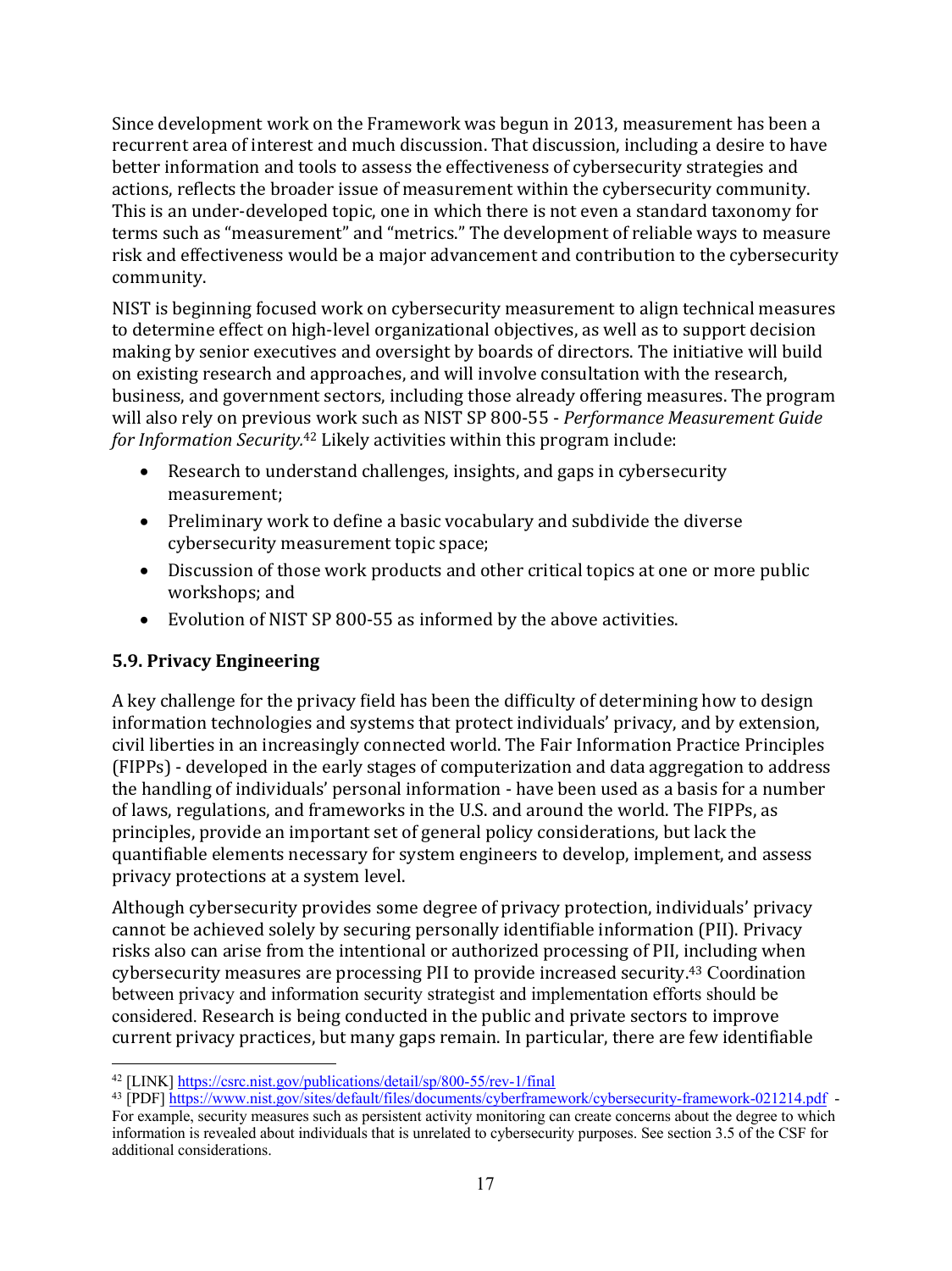Since development work on the Framework was begun in 2013, measurement has been a recurrent area of interest and much discussion. That discussion, including a desire to have better information and tools to assess the effectiveness of cybersecurity strategies and actions, reflects the broader issue of measurement within the cybersecurity community. This is an under-developed topic, one in which there is not even a standard taxonomy for terms such as "measurement" and "metrics." The development of reliable ways to measure risk and effectiveness would be a major advancement and contribution to the cybersecurity community.

NIST is beginning focused work on cybersecurity measurement to align technical measures to determine effect on high-level organizational objectives, as well as to support decision making by senior executives and oversight by boards of directors. The initiative will build on existing research and approaches, and will involve consultation with the research, business, and government sectors, including those already offering measures. The program will also rely on previous work such as NIST SP 800-55 - *Performance Measurement Guide* for Information Security.<sup>42</sup> Likely activities within this program include:

- Research to understand challenges, insights, and gaps in cybersecurity measurement;
- Preliminary work to define a basic vocabulary and subdivide the diverse cybersecurity measurement topic space;
- Discussion of those work products and other critical topics at one or more public workshops; and
- Evolution of NIST SP 800-55 as informed by the above activities.

## **5.9. Privacy Engineering**

A key challenge for the privacy field has been the difficulty of determining how to design information technologies and systems that protect individuals' privacy, and by extension, civil liberties in an increasingly connected world. The Fair Information Practice Principles (FIPPs) - developed in the early stages of computerization and data aggregation to address the handling of individuals' personal information - have been used as a basis for a number of laws, regulations, and frameworks in the U.S. and around the world. The FIPPs, as principles, provide an important set of general policy considerations, but lack the quantifiable elements necessary for system engineers to develop, implement, and assess privacy protections at a system level.

Although cybersecurity provides some degree of privacy protection, individuals' privacy cannot be achieved solely by securing personally identifiable information (PII). Privacy risks also can arise from the intentional or authorized processing of PII, including when cybersecurity measures are processing PII to provide increased security.<sup>43</sup> Coordination between privacy and information security strategist and implementation efforts should be considered. Research is being conducted in the public and private sectors to improve current privacy practices, but many gaps remain. In particular, there are few identifiable

 <sup>42</sup> [LINK] https://csrc.nist.gov/publications/detail/sp/800-55/rev-1/final

<sup>43</sup> [PDF] https://www.nist.gov/sites/default/files/documents/cyberframework/cybersecurity-framework-021214.pdf -

For example, security measures such as persistent activity monitoring can create concerns about the degree to which information is revealed about individuals that is unrelated to cybersecurity purposes. See section 3.5 of the CSF for additional considerations.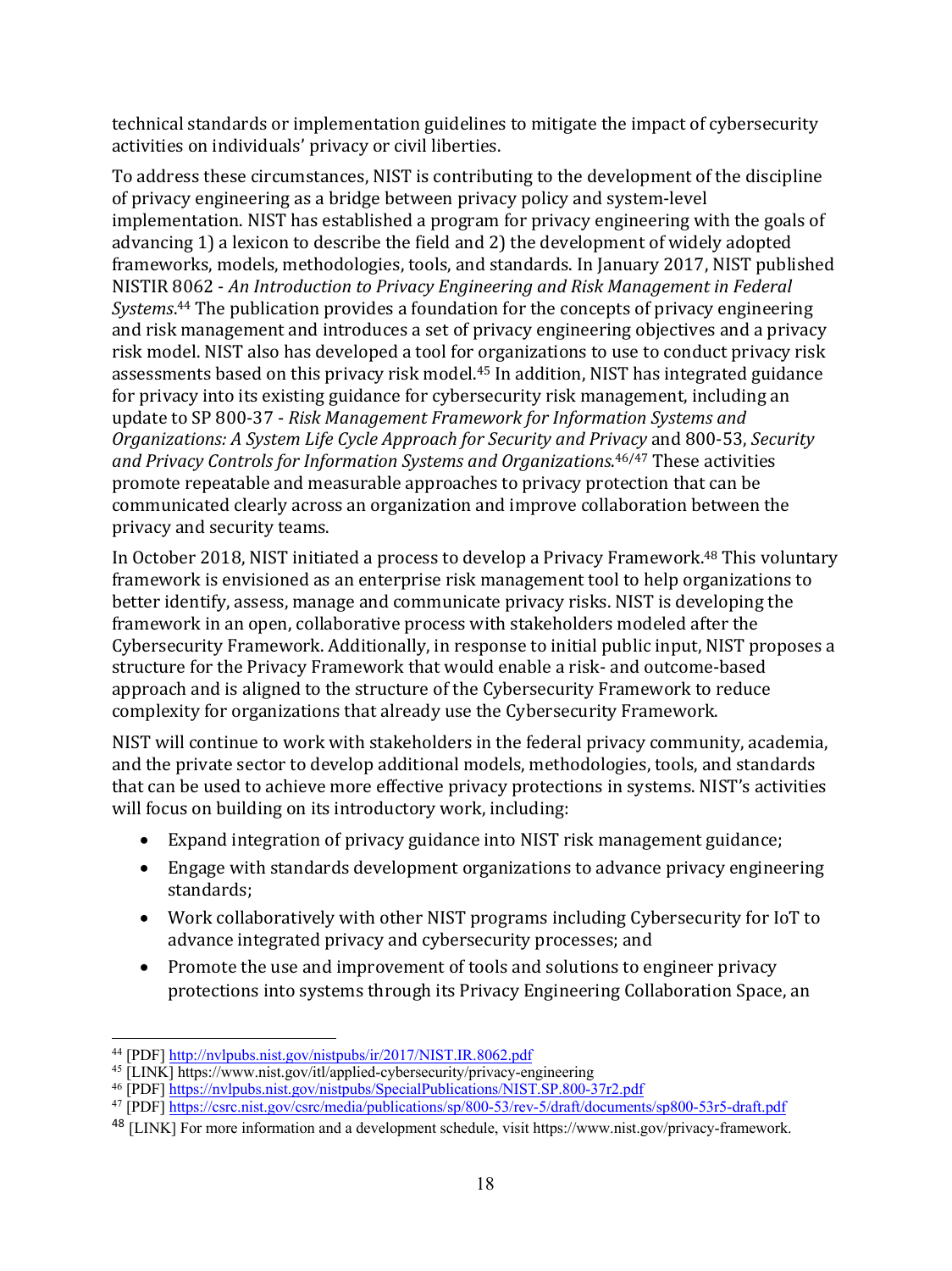technical standards or implementation guidelines to mitigate the impact of cybersecurity activities on individuals' privacy or civil liberties.

To address these circumstances, NIST is contributing to the development of the discipline of privacy engineering as a bridge between privacy policy and system-level implementation. NIST has established a program for privacy engineering with the goals of advancing 1) a lexicon to describe the field and 2) the development of widely adopted frameworks, models, methodologies, tools, and standards. In January 2017, NIST published NISTIR 8062 - *An Introduction to Privacy Engineering and Risk Management in Federal* Systems.<sup>44</sup> The publication provides a foundation for the concepts of privacy engineering and risk management and introduces a set of privacy engineering objectives and a privacy risk model. NIST also has developed a tool for organizations to use to conduct privacy risk assessments based on this privacy risk model.<sup>45</sup> In addition, NIST has integrated guidance for privacy into its existing guidance for cybersecurity risk management, including an update to SP 800-37 - *Risk Management Framework for Information Systems and Organizations: A System Life Cycle Approach for Security and Privacy* and 800-53, *Security*  and Privacy Controls for Information Systems and Organizations.<sup>46/47</sup> These activities promote repeatable and measurable approaches to privacy protection that can be communicated clearly across an organization and improve collaboration between the privacy and security teams.

In October 2018, NIST initiated a process to develop a Privacy Framework.<sup>48</sup> This voluntary framework is envisioned as an enterprise risk management tool to help organizations to better identify, assess, manage and communicate privacy risks. NIST is developing the framework in an open, collaborative process with stakeholders modeled after the Cybersecurity Framework. Additionally, in response to initial public input, NIST proposes a structure for the Privacy Framework that would enable a risk- and outcome-based approach and is aligned to the structure of the Cybersecurity Framework to reduce complexity for organizations that already use the Cybersecurity Framework.

NIST will continue to work with stakeholders in the federal privacy community, academia, and the private sector to develop additional models, methodologies, tools, and standards that can be used to achieve more effective privacy protections in systems. NIST's activities will focus on building on its introductory work, including:

- Expand integration of privacy guidance into NIST risk management guidance;
- Engage with standards development organizations to advance privacy engineering standards;
- Work collaboratively with other NIST programs including Cybersecurity for IoT to advance integrated privacy and cybersecurity processes; and
- Promote the use and improvement of tools and solutions to engineer privacy protections into systems through its Privacy Engineering Collaboration Space, an

 <sup>44</sup> [PDF] http://nvlpubs.nist.gov/nistpubs/ir/2017/NIST.IR.8062.pdf

<sup>45</sup> [LINK] https://www.nist.gov/itl/applied-cybersecurity/privacy-engineering

<sup>46</sup> [PDF] https://nvlpubs.nist.gov/nistpubs/SpecialPublications/NIST.SP.800-37r2.pdf

<sup>47</sup> [PDF] https://csrc.nist.gov/csrc/media/publications/sp/800-53/rev-5/draft/documents/sp800-53r5-draft.pdf

<sup>48</sup> [LINK] For more information and a development schedule, visit https://www.nist.gov/privacy-framework.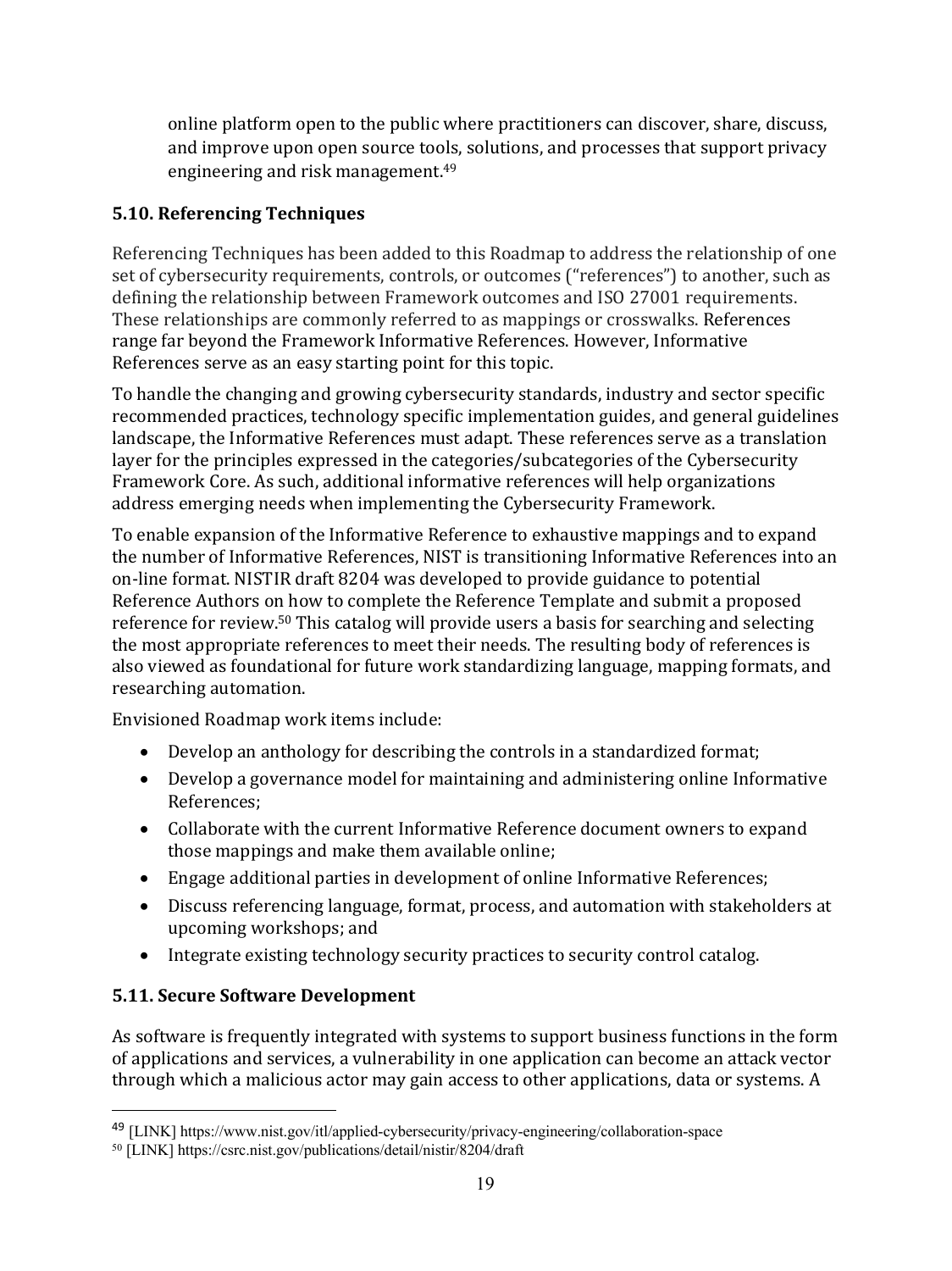online platform open to the public where practitioners can discover, share, discuss, and improve upon open source tools, solutions, and processes that support privacy engineering and risk management.<sup>49</sup>

### **5.10. Referencing Techniques**

Referencing Techniques has been added to this Roadmap to address the relationship of one set of cybersecurity requirements, controls, or outcomes ("references") to another, such as defining the relationship between Framework outcomes and ISO 27001 requirements. These relationships are commonly referred to as mappings or crosswalks. References range far beyond the Framework Informative References. However, Informative References serve as an easy starting point for this topic.

To handle the changing and growing cybersecurity standards, industry and sector specific recommended practices, technology specific implementation guides, and general guidelines landscape, the Informative References must adapt. These references serve as a translation layer for the principles expressed in the categories/subcategories of the Cybersecurity Framework Core. As such, additional informative references will help organizations address emerging needs when implementing the Cybersecurity Framework.

To enable expansion of the Informative Reference to exhaustive mappings and to expand the number of Informative References, NIST is transitioning Informative References into an on-line format. NISTIR draft 8204 was developed to provide guidance to potential Reference Authors on how to complete the Reference Template and submit a proposed reference for review.<sup>50</sup> This catalog will provide users a basis for searching and selecting the most appropriate references to meet their needs. The resulting body of references is also viewed as foundational for future work standardizing language, mapping formats, and researching automation.

Envisioned Roadmap work items include:

- Develop an anthology for describing the controls in a standardized format;
- Develop a governance model for maintaining and administering online Informative References;
- Collaborate with the current Informative Reference document owners to expand those mappings and make them available online;
- Engage additional parties in development of online Informative References;
- Discuss referencing language, format, process, and automation with stakeholders at upcoming workshops; and
- Integrate existing technology security practices to security control catalog.

#### **5.11. Secure Software Development**

 $\overline{a}$ 

As software is frequently integrated with systems to support business functions in the form of applications and services, a vulnerability in one application can become an attack vector through which a malicious actor may gain access to other applications, data or systems. A

<sup>49</sup> [LINK] https://www.nist.gov/itl/applied-cybersecurity/privacy-engineering/collaboration-space

<sup>50</sup> [LINK] https://csrc.nist.gov/publications/detail/nistir/8204/draft